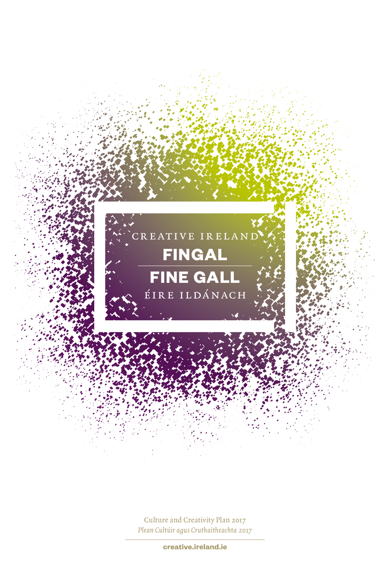

Culture and Creativity Plan 2017 *Plean Cultúir agus Cruthaitheachta 2017*

**creative.ireland.ie**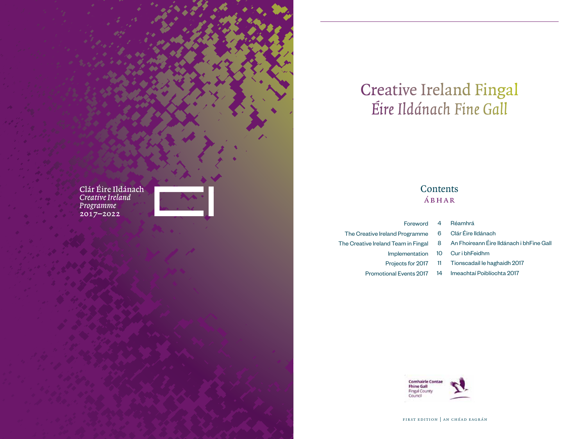

# Creative Ireland Fingal *Éire Ildánach Fine Gall*

## **Contents** ábhar

| 4  | Foreword                            |
|----|-------------------------------------|
| 6  | The Creative Ireland Programme      |
| 8  | The Creative Ireland Team in Fingal |
| 10 | Implementation                      |
| 11 | Projects for 2017                   |
| 14 | <b>Promotional Events 2017</b>      |

- Réamhrá
- Clár Éire Ildánach
- An Fhoireann Éire Ildánach i bhFine Gall
- Cur i bhFeidhm
- Tionscadail le haghaidh 2017
- 14 Imeachtaí Poiblíochta 2017



first edition | an chéad eagrán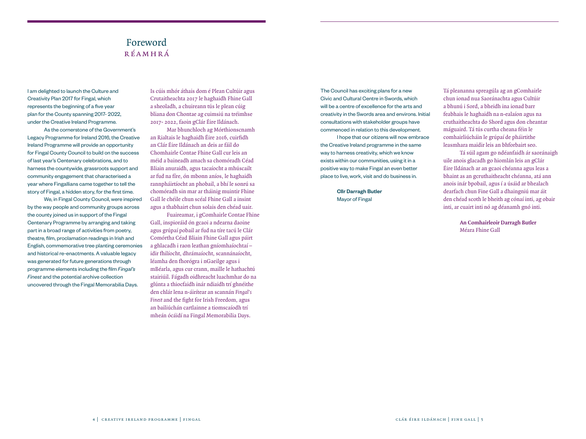## Foreword réamhrá

I am delighted to launch the Culture and Creativity Plan 2017 for Fingal, which represents the beginning of a five year plan for the County spanning 2017- 2022, under the Creative Ireland Programme.

As the cornerstone of the Government's Legacy Programme for Ireland 2016, the Creative Ireland Programme will provide an opportunity for Fingal County Council to build on the success of last year's Centenary celebrations, and to harness the countywide, grassroots support and community engagement that characterised a year where Fingallians came together to tell the story of Fingal, a hidden story, for the first time.

We, in Fingal County Council, were inspired by the way people and community groups across the county joined us in support of the Fingal Centenary Programme by arranging and taking part in a broad range of activities from poetry, theatre, film, proclamation readings in Irish and English, commemorative tree planting ceremonies and historical re-enactments. A valuable legacy was generated for future generations through programme elements including the film *Fingal's Finest* and the potential archive collection uncovered through the Fingal Memorabilia Days.

Is cúis mhór áthais dom é Plean Cultúir agus Crutaitheachta 2017 le haghaidh Fhine Gall a sheoladh, a chuireann tús le plean cúig bliana don Chontae ag cuimsiú na tréimhse 2017- 2022, faoin gClár Éire Ildánach.

Mar bhunchloch ag Mórthionscnamh an Rialtais le haghaidh Éire 2016, cuirfidh an Clár Éire Ildánach an deis ar fáil do Chomhairle Contae Fhine Gall cur leis an méid a baineadh amach sa chomóradh Céad Bliain anuraidh, agus tacaíocht a mhúscailt ar fud na fíre, ón mbonn aníos, le haghaidh rannpháirtíocht an phobail, a bhí le sonrú sa chomóradh sin mar ar tháinig muintir Fhine Gall le chéile chun scéal Fhine Gall a insint agus a thabhairt chun solais den chéad uair.

Fuaireamar, i gComhairle Contae Fhine Gall, inspioráid ón gcaoi a ndearna daoine agus grúpaí pobail ar fud na tíre tacú le Clár Comórtha Céad Bliain Fhine Gall agus páirt a ghlacadh i raon leathan gníomhaíochtaí – idir fhilíocht, dhrámaíocht, scannánaíocht, léamha den fhorógra i nGaeilge agus i mBéarla, agus cur crann, maille le hathachtú stairiúil. Fágadh oidhreacht luachmhar do na glúnta a thiocfaidh inár ndiaidh trí ghnéithe den chlár lena n-áirítear an scannán *Fingal's Finest* and the fight for Irish Freedom, agus an bailiúchán cartlainne a tiomscaíodh trí mheán ócáidí na Fingal Memorabilia Days.

The Council has exciting plans for a new Civic and Cultural Centre in Swords, which will be a centre of excellence for the arts and creativity in the Swords area and environs. Initial consultations with stakeholder groups have commenced in relation to this development.

I hope that our citizens will now embrace the Creative Ireland programme in the same way to harness creativity, which we know exists within our communities, using it in a positive way to make Fingal an even better place to live, work, visit and do business in.

> Cllr Darragh Butler Mayor of Fingal

Tá pleananna spreagúla ag an gComhairle chun ionad nua Saoránachta agus Cultúir a bhunú i Sord, a bheidh ina ionad barr feabhais le haghaidh na n-ealaíon agus na cruthaitheachta do Shord agus don cheantar máguaird. Tá tús curtha cheana féin le comhairliúcháin le grúpaí de pháirtithe leasmhara maidir leis an bhforbairt seo.

Tá súil agam go ndéanfaidh ár saoránaigh uile anois glacadh go hiomlán leis an gClár Éire Ildánach ar an gcaoi chéanna agus leas a bhaint as an gcruthaitheacht chéanna, atá ann anois inár bpobail, agus í a úsáid ar bhealach dearfach chun Fine Gall a dhaingniú mar áit den chéad scoth le bheith ag cónaí inti, ag obair inti, ar cuairt inti nó ag déanamh gnó inti.

> **An Comhairleoir Darragh Butler** Méara Fhine Gall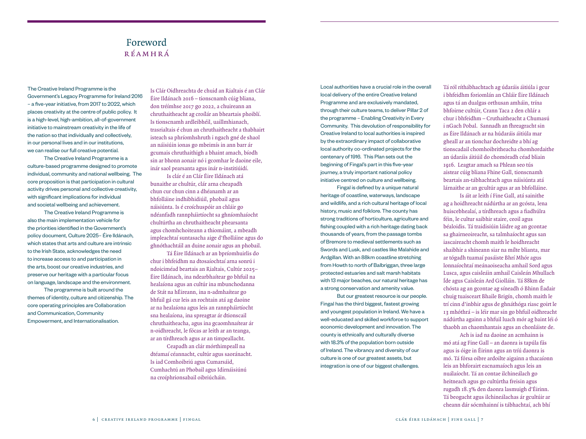## Foreword réamhrá

The Creative Ireland Programme is the Government's Legacy Programme for Ireland 2016 – a five-year initiative, from 2017 to 2022, which places creativity at the centre of public policy. It is a high-level, high-ambition, all-of-government initiative to mainstream creativity in the life of the nation so that individually and collectively, in our personal lives and in our institutions, we can realise our full creative potential.

The Creative Ireland Programme is a culture-based programme designed to promote individual, community and national wellbeing. The core proposition is that participation in cultural activity drives personal and collective creativity, with significant implications for individual and societal wellbeing and achievement.

The Creative Ireland Programme is also the main implementation vehicle for the priorities identified in the Government's policy document, Culture 2025– Éire Ildánach, which states that arts and culture are intrinsic to the Irish State, acknowledges the need to increase access to and participation in the arts, boost our creative industries, and preserve our heritage with a particular focus on language, landscape and the environment.

The programme is built around the themes of identity, culture and citizenship. The core operating principles are Collaboration and Communication, Community Empowerment, and Internationalisation.

Is Clár Oidhreachta de chuid an Rialtais é an Clár Éire Ildánach 2016 – tionscnamh cúig bliana, don tréímhse 2017 go 2022, a chuireann an chruthaitheacht ag croílár an bheartais phoiblí. Is tionscnamh ardleibhéil, uaillmhianach, trasrialtais é chun an chruthaitheacht a thabhairt isteach sa phríomhshruth i ngach gné de shaol an náisiúin ionas go mbeimís in ann barr ár gcumais chruthaithigh a bhaint amach, bíodh sin ar bhonn aonair nó i gcomhar le daoine eile, inár saol pearsanta agus inár n-institiúidí.

Is clár é an Clár Éire Ildánach atá bunaithe ar chultúr, clár arna cheapadh chun cur chun cinn a dhéanamh ar an bhfolláine indhibhidiúil, phobail agus náisiúnta. Is é croíchuspóir an chláir go ndéanfadh rannpháirtíocht sa ghníomhaíocht chultúrtha an chruthaitheacht phearsanta agus chomhchoiteann a thiomáint, a mbeadh impleachtaí suntasacha aige d'fholláine agus do ghnóthachtáil an duine aonair agus an phobail.

Tá Éire Ildánach ar an bpríomhuirlis do chur i bhfeidhm na dtosaíochtaí arna sonrú i ndoiciméad beartais an Rialtais, Cultúr 2025– Éire Ildánach, ina ndearbhaítear go bhfuil na healaíona agus an cultúr ina mbunchodanna de Stát na hÉireann, ina n-admhaítear go bhfuil gá cur leis an rochtain atá ag daoine ar na healaíona agus leis an rannpháirtíocht sna healaíona, ina spreagtar ár dtionscail chruthaitheacha, agus ina gcaomhnaítear ár n-oidhreacht, le fócas ar leith ar an teanga, ar an tírdhreach agus ar an timpeallacht.

Ceapadh an clár mórthimpeall na dtéamaí céannacht, cultúr agus saoránacht. Is iad Comhoibriú agus Cumarsáid, Cumhachtú an Phobail agus Idirnáisiúnú na croíphrionsabail oibriúcháin.

Local authorities have a crucial role in the overall local delivery of the entire Creative Ireland Programme and are exclusively mandated, through their culture teams, to deliver Pillar 2 of the programme – Enabling Creativity in Every Community. This devolution of responsibility for Creative Ireland to local authorities is inspired by the extraordinary impact of collaborative local authority co-ordinated projects for the centenary of 1916. This Plan sets out the beginning of Fingal's part in this five-year journey, a truly important national policy initiative centred on culture and wellbeing.

Fingal is defined by a unique natural heritage of coastline, waterways, landscape and wildlife, and a rich cultural heritage of local history, music and folklore. The county has strong traditions of horticulture, agriculture and fishing coupled with a rich heritage dating back thousands of years, from the passage tombs of Bremore to medieval settlements such as Swords and Lusk, and castles like Malahide and Ardgillan. With an 88km coastline stretching from Howth to north of Balbriggan, three large protected estuaries and salt marsh habitats with 13 major beaches, our natural heritage has a strong conservation and amenity value.

But our greatest resource is our people. Fingal has the third biggest, fastest growing and youngest population in Ireland. We have a well-educated and skilled workforce to support economic development and innovation. The county is ethnically and culturally diverse with 18.3% of the population born outside of Ireland. The vibrancy and diversity of our culture is one of our greatest assets, but integration is one of our biggest challenges.

Tá ról ríthábhachtach ag údaráis áitiúla i gcur i bhfeidhm foriomlán an Chláir Éire Ildánach agus tá an dualgas orthusan amháin, trína bhfoirne cultúir, Crann Taca 2 den chlár a chur i bhfeidhm – Cruthaitheacht a Chumasú i nGach Pobal. Sannadh an fhreagracht sin as Éire Ildánach ar na húdaráis áitiúla mar gheall ar an tionchar dochreidte a bhí ag tionscadail chomhoibritheacha chomhordaithe an údaráis áitiúil do chomóradh céad bliain 1916. Leagtar amach sa Phlean seo tús aistear cúig bliana Fhine Gall, tionscnamh beartais an-tábhachtach agus náisiúnta atá lárnaithe ar an gcultúr agus ar an bhfolláine.

Is áit ar leith í Fine Gall, atá sainithe ag a hoidhreacht nádúrtha ar an gcósta, lena huiscebhealaí, a tírdhreach agus a fiadhúlra féin, le cultur saibhir staire, ceoil agus béaloidis. Tá traidisiúin láidre ag an gcontae sa ghairneoireacht, sa talmhaíocht agus san iascaireacht chomh maith le hoidhreacht shaibhir a shíneann siar na mílte blianta, mar ar tógadh tuamaí pasáiste Bhrí Mhór agus lonnaíochtaí meánaoiseacha amhail Sord agus Lusca, agus caisleáin amhail Caisleán Mhullach Íde agus Caisleán Ard Giolláin. Tá 88km de chósta ag an gcontae ag síneadh ó Bhinn Éadair chuig tuaisceart Bhaile Brigín, chomh maith le trí cinn d'inbhir agus de ghnáthóga riasc goirt le 13 mhóthrá – is léir mar sin go bhfuil oidhreacht nádúrtha againn a bhfuil luach mór ag baint léi ó thaobh an chaomhantais agus an chonláiste de.

Ach is iad na daoine an acmhainn is mó atá ag Fine Gall – an daonra is tapúla fás agus is óige in Éirinn agus an tríú daonra is mó. Tá fórsa oibre ardoilte aigainn a thacaíonn leis an bhforairt eacnamaíoch agus leis an nuálaíocht. Tá an contae ilchineálach go heitneach agus go cultúrtha freisin agus rugadh 18.3% den daonra lasmuigh d'Éirinn. Tá beogacht agus ilchineálachas ár gcultúir ar cheann dár sócmhainní is tábhachtaí, ach bhí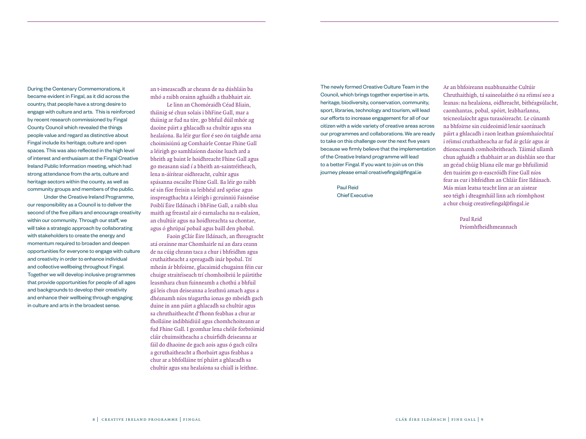During the Centenary Commemorations, it became evident in Fingal, as it did across the country, that people have a strong desire to engage with culture and arts. This is reinforced by recent research commissioned by Fingal County Council which revealed the things people value and regard as distinctive about Fingal include its heritage, culture and open spaces. This was also reflected in the high level of interest and enthusiasm at the Fingal Creative Ireland Public Information meeting, which had strong attendance from the arts, culture and heritage sectors within the county, as well as community groups and members of the public.

Under the Creative Ireland Programme, our responsibility as a Council is to deliver the second of the five pillars and encourage creativity within our community. Through our staff, we will take a strategic approach by collaborating with stakeholders to create the energy and momentum required to broaden and deepen opportunities for everyone to engage with culture and creativity in order to enhance individual and collective wellbeing throughout Fingal. Together we will develop inclusive programmes that provide opportunities for people of all ages and backgrounds to develop their creativity and enhance their wellbeing through engaging in culture and arts in the broadest sense.

an t-imeascadh ar cheann de na dúshláin ba mhó a raibh orainn aghaidh a thabhairt air. Le linn an Chomóraidh Céad Bliain,

tháinig sé chun solais i bhFine Gall, mar a tháinig ar fud na tíre, go bhfuil dúil mhór ag daoine páirt a ghlacadh sa chultúr agus sna healaíona. Ba léir gur fíor é seo ón taighde arna choimisiúnú ag Comhairle Contae Fhine Gall a léirigh go samhlaíonn daoine luach ard a bheith ag baint le hoidhreacht Fhine Gall agus go measann siad í a bheith an-saintréitheach, lena n-áírítear oidhreacht, cultúr agus spásanna oscailte Fhine Gall. Ba léir go raibh sé sin fíor freisin sa leibhéal ard spéise agus inspreagthachta a léirígh i gcruinniú Faisnéise Poiblí Éire Ildánach i bhFine Gall, a raibh slua maith ag freastal air ó earnalacha na n-ealaíon, an chultúir agus na hoidhreachta sa chontae, agus ó ghrúpaí pobail agus baill den phobal.

Faoin gClár Éire Ildánach, an fhreagracht atá orainne mar Chomhairle ná an dara ceann de na cúig chrann taca a chur i bhfeidhm agus cruthaitheacht a spreagadh inár bpobal. Trí mheán ár bhfoirne, glacaimid chugainn féin cur chuige straitéiseach trí chomhoibriú le páirtithe leasmhara chun fuinneamh a chothú a bhfuil gá leis chun deiseanna a leathnú amach agus a dhéanamh níos téagartha ionas go mbeidh gach duine in ann páirt a ghlacadh sa chultúr agus sa chruthaitheacht d'fhonn feabhas a chur ar fholláine indibhidiúil agus chomhchoiteann ar fud Fhine Gall. I gcomhar lena chéile forbróimid cláir chuimsitheacha a chuirfidh deiseanna ar fáil do dhaoine de gach aois agus ó gach cúlra a gcruthaitheacht a fhorbairt agus feabhas a chur ar a bhfolláine trí pháirt a ghlacadh sa chultúr agus sna healaíona sa chiall is leithne.

The newly formed Creative Culture Team in the Council, which brings together expertise in arts, heritage, biodiversity, conservation, community, sport, libraries, technology and tourism, will lead our efforts to increase engagement for all of our citizen with a wide variety of creative areas across our programmes and collaborations. We are ready to take on this challenge over the next five years because we firmly believe that the implementation of the Creative Ireland programme will lead to a better Fingal. If you want to join us on this journey please email creativefingal@fingal.ie

> Paul Reid Chief Executive

Ar an bhfoireann nuabhunaithe Cultúir Chruthaithigh, tá saineolaithe ó na réimsí seo a leanas: na healaíona, oidhreacht, bithéagsúlacht, caomhantas, pobal, spóirt, leabharlanna, teicneolaíocht agus turasóireacht. Le cúnamh na bhfoirne sin cuideoimid lenár saoránach páirt a ghlacadh i raon leathan gníomhaíochtaí i réimsí cruthaitheacha ar fud ár gclár agus ár dtionscnamh comhoibritheach. Táimid ullamh chun aghaidh a thabhairt ar an dúshlán seo thar an gcéad chúig bliana eile mar go bhfuilimid den tuairim go n-eascróidh Fine Gall níos fear as cur i bhfeidhm an Chláir Éire Ildánach. Más mian leatsa teacht linn ar an aistear seo téigh i dteagmháil linn ach ríomhphost a chur chuig creativefingal@fingal.ie

> Paul Reid Príomhfheidhmeannach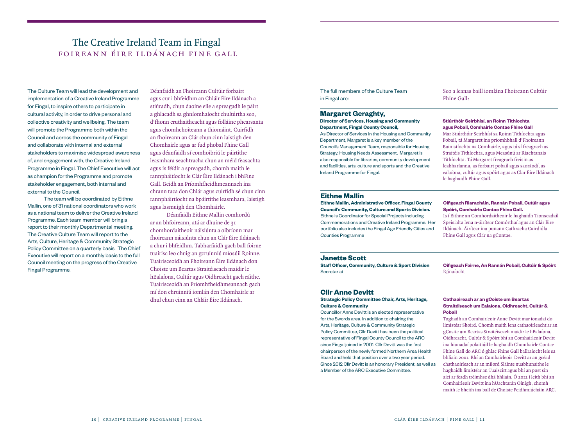## The Creative Ireland Team in Fingal foireann éire ildánach fine gall

The Culture Team will lead the development and implementation of a Creative Ireland Programme for Fingal, to inspire others to participate in cultural activity, in order to drive personal and collective creativity and wellbeing. The team will promote the Programme both within the Council and across the community of Fingal and collaborate with internal and external stakeholders to maximise widespread awareness of, and engagement with, the Creative Ireland Programme in Fingal. The Chief Executive will act as champion for the Programme and promote stakeholder engagement, both internal and external to the Council.

The team will be coordinated by Eithne Mallin, one of 31 national coordinators who work as a national team to deliver the Creative Ireland Programme. Each team member will bring a report to their monthly Departmental meeting. The Creative Culture Team will report to the Arts, Culture, Heritage & Community Strategic Policy Committee on a quarterly basis. The Chief Executive will report on a monthly basis to the full Council meeting on the progress of the Creative Fingal Programme.

Déanfaidh an Fhoireann Cultúir forbairt agus cur i bhfeidhm an Chláir Éire Ildánach a stiúradh, chun daoine eile a spreagadh le páirt a ghlacadh sa ghníomhaíocht chultúrtha seo, d'fhonn cruthaitheacht agus folláine phearsanta agus chomhchoiteann a thiomáint. Cuirfidh an fhoireann an Clár chun cinn laistigh den Chomhairle agus ar fud phobal Fhine Gall agus déanfaidh sí comhoibriú le páirtithe leasmhara seachtracha chun an méid feasachta agus is féídir a spreagadh, chomh maith le rannpháitíocht le Clár Éire Ildánach i bhFine Gall. Beidh an Príomhfheidhmeannach ina chrann taca don Chlár agus cuirfidh sé chun cinn rannpháirtíocht na bpáirtithe leasmhara, laistigh agus lasmuigh den Chomhairle.

Déanfaidh Eithne Mallin comhordú ar an bhfoireann, atá ar dhuine de 31 chomhordaitheoir náisiúnta a oibríonn mar fhoireann náisiúnta chun an Clár Éire Ildánach a chur i bhfeidhm. Tabharfaidh gach ball foirne tuairisc leo chuig an gcruinniú míosúil Roinne. Tuairisceoidh an Fhoireann Éire Ildánach don Choiste um Beartas Straitéiseach maidir le hEalaíona, Cultúr agus Oidhreacht gach ráithe. Tuairisceoidh an Príomhfheidhmeannach gach mí don chruinniú iomlán den Chomhairle ar dhul chun cinn an Chláir Éire Ildánach.

The full members of the Culture Team in Fingal are:

## **Margaret Geraghty,**

**Director of Services, Housing and Community Department, Fingal County Council,** 

As Director of Services in the Housing and Community Department, Margaret is a key member of the Council's Management Team, responsible for Housing Strategy, Housing Needs Assessment. Margaret is also responsible for libraries, community development and facilities, arts, culture and sports and the Creative Ireland Programme for Fingal.

Seo a leanas baill iomlána Fhoireann Cultúir Fhine Gall:

#### **Stiúrthóir Seirbhísí, an Roinn Tithíochta agus Pobail, Comhairle Contae Fhine Gall**

Mar Stiúrthóir Seirbhísí sa Roinn Tithíochta agus Pobail, tá Margaret ina príomhbhall d'Fhoireann Bainistíochta na Comhairle, agus tá sí freagrach as Straitéis Tithíochta, agus Measúnú ar Riachtanais Tithíochta. Tá Margaret freagrach freisin as leabharlanna, as forbairt pobail agus saoráodí, as ealaíona, cultúr agus spóirt agus as Clar Éire Ildánach le haghaidh Fhine Gall.

## **Eithne Mallin**

**Eithne Mallin, Administrative Officer, Fingal County Council's Community, Culture and Sports Division.**  Eithne is Coordinator for Special Projects including Commemorations and Creative Ireland Programme. Her portfolio also includes the Fingal Age Friendly Cities and Counties Programme

#### **Oifigeach Riaracháin, Rannán Pobail, Cutúir agus Spóirt, Comhairle Contae Fhine Gall.**

Is í Eithne an Comhordaitheoir le haghaidh Tionscadail Speisialta lena n-áirítear Comórthaí agus an Clár Éire Ildánach. Áirítear ina punann Cathracha Cairdiúla Fhine Gall agus Clár na gContae.

## **Janette Scott**

**Staff Officer, Community, Culture & Sport Division Secretariat** 

**Oifigeach Foirne, An Rannán Pobail, Cultúir & Spóirt**  Rúnaíocht

## **Cllr Anne Devitt**

#### **Strategic Policy Committee Chair, Arts, Heritage, Culture & Community**

Councillor Anne Devitt is an elected representative for the Swords area. In addition to chairing the Arts, Heritage, Culture & Community Strategic Policy Committee, Cllr Devitt has been the political representative of Fingal County Council to the ARC since Fingal joined in 2001. Cllr Devitt was the first chairperson of the newly formed Northern Area Health Board and held that position over a two year period. Since 2012 Cllr Devitt is an honorary President, as well as a Member of the ARC Executive Committee.

#### **Cathaoireach ar an gCoiste um Beartas Straitéiseach um Ealaíona, Oidhreacht, Cultúr & Pobail**

Toghadh an Comhairleoir Anne Devitt mar ionadaí do limistéar Shoird. Chomh maith lena cathaoirleacht ar an gCosite um Beartas Straitéiseach maidir le hEalaíona, Oidhreacht, Cultúr & Spóirt bhí an Comhairleoir Devitt ina hionadaí polaitiúil le haghaidh Chomhairle Contae Fhine Gall do ARC ó ghlac Fhine Gall ballraíocht leis sa bhliain 2001. Bhí an Comhairleoir Devitt ar an gcéad chathaoirleach ar an mBord Sláinte nuabhunaithe le haghaidh limistéar an Tuaiscirt agus bhí an post sin aici ar feadh tréimhse dhá bhliain. Ó 2012 i leith bhí an Comhairleoir Devitt ina hUachtarán Oinigh, chomh maith le bheith ina ball de Choiste Feidhmiúcháin ARC.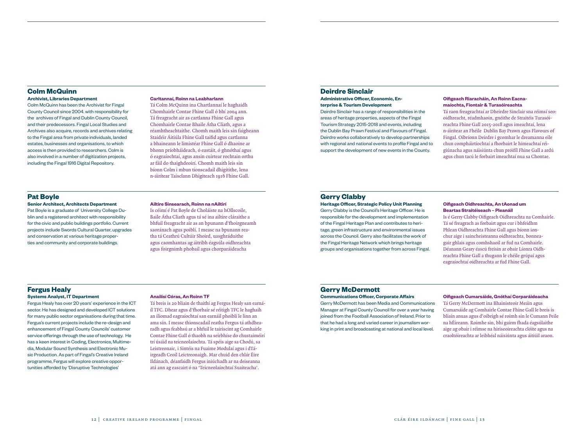## **Colm McQuinn**

**Archivist, Libraries Department** Colm McQuinn has been the Archivist for Fingal County Council since 2004. with responsibility for the archives of Fingal and Dublin County Council, and their predecessors. Fingal Local Studies and Archives also acquire, records and archives relating to the Fingal area from private individuals, landed estates, businesses and organisations, to which access is then provided to researchers. Colm is also involved in a number of digitization projects, including the Fingal 1916 Digital Repository.

#### **Carltannaí, Roinn na Leabharlann**

Tá Colm McQuinn ina Chartlannaí le haghaidh Chomhairle Contae Fhine Gall ó bhí 2004 ann. Tá freagracht air as cartlanna Fhine Gall agus Chomhairle Contae Bhaile Átha Cliath, agus a réamhtheachtaithe. Chomh maith leis sin faigheann Staidéir Áitiúla Fhine Gall taifid agus cartlanna a bhaineann le limistéar Fhine Gall ó dhaoine ar bhonn príobháideach, ó eastáit, ó ghnóthaí agus ó eagraíochtaí, agus ansin cuirtear rochtain orthu ar fáil do thaighdeoirí. Chomh maith leis sin bíonn Colm i mbun tionscadail dhigitithe, lena n-áirítear Taisclann Dhigiteach 1916 Fhine Gall.

## **Pat Boyle**

#### **Senior Architect, Architects Department**

Pat Boyle is a graduate of University College Dublin and a registered architect with responsibility for the civic and public buildings portfolio. Current projects include Swords Cultural Quarter, upgrades and conservation at various heritage properties and community and corporate buildings.

#### **Ailtire Sinsearach, Roinn na nAiltirí**

Is céimí é Pat Boyle de Choláiste na hOllscoile, Baile Átha Cliath agus tá sé ina ailtire cláraithe a bhfuil freagracht air as an bpunann d'fhoirgneamh saoránach agus poiblí. I measc na bpunann reatha tá Ceathrú Cultúir Shoird, uasghráduithe agus caomhantas ag áitribh éagsúla oidhreachta agus foirgnimh phobail agus chorparáideacha

## **Deirdre Sinclair**

**Administrative Officer, Economic, Enterprise & Tourism Development**

Deirdre Sinclair has a range of responsibilities in the areas of heritage properties, aspects of the Fingal Tourism Strategy 2015-2018 and events, including the Dublin Bay Prawn Festival and Flavours of Fingal. Deirdre works collaboratively to develop partnerships with regional and national events to profile Fingal and to support the development of new events in the County.

#### **Oifigeach Riaracháin, An Roinn Eacnamaíochta, Fiontair & Turasóireachta**

Tá raon freagrachtaí ar Dheirdre Sinclair sna réimsí seo: oidhreacht, réadmhaoin, gnéithe de Straitéis Turasóireachta Fhine Gall 2015-2018 agus imeachtaí, lena n-áirítear an Fhéile Dublin Bay Prawn agus Flavours of Fingal. Oibríonn Deirdre i gcomhar le dreamanna eile chun compháirtíochtaí a fhorbairt le himeachtaí réigiúnacha agus náisiúnta chun próifíl Fhine Gall a ardú agus chun tacú le forbairt imeachtaí nua sa Chontae.

## **Gerry Clabby**

**Heritage Officer, Strategic Policy Unit Planning** Gerry Clabby is the Council's Heritage Officer. He is responsible for the development and implementation of the Fingal Heritage Plan and contributes to heritage, green infrastructure and environmental issues across the Council. Gerry also facilitates the work of the Fingal Heritage Network which brings heritage groups and organisations together from across Fingal.

#### **Oifigeach Oidhreachta, An tAonad um Beartas Straitéiseach – Pleanáil**

Is é Gerry Clabby Oifigeach Oidhreachta na Comhairle. Tá sé freagrach as forbairt agus cur i bhfeidhm Phlean Oidhreachta Fhine Gall agus bíonn ionchur aige i saincheisteanna oidhreachta, bonneagair ghlais agus comhshaoil ar fud na Comhairle. Déanann Geary éascú freisin ar obair Líonra Oidhreachta Fhine Gall a thugann le chéile grúpaí agus eagraíochtaí oidhreachta ar fud Fhine Gall.

#### **Fergus Healy Systems Analyst, IT Department**

Fergus Healy has over 20 years' experience in the ICT sector. He has designed and developed ICT solutions for many public sector organisations during that time. Fergus's current projects include the re-design and enhancement of Fingal County Councils' customer service offerings through the use of technology. He has a keen interest in Coding, Electronics, Multimedia, Modular Sound Synthesis and Electronic Music Production. As part of Fingal's Creative Ireland programme, Fergus will explore creative opportunities afforded by 'Disruptive Technologies'

#### **Anailísí Córas, An Roinn TF**

Tá breis is 20 bliain de thaithí ag Fergus Healy san earnáíl TFC. Dhear agus d'fhorbair sé réitigh TFC le haghaih an iliomad eagraíochtaí san earnáil phoiblí le linn an ama sin. I measc thionscadail reatha Fergus tá athdhearadh agus feabhsú ar a bhfuil le tairiscint ag Comhairle Contae Fhine Gall ó thaobh na seirbhíse do chustaiméirí trí úsáid na teicneolaíochta. Tá spéis aige sa Chodú, sa Leistreonaic, i Sintéis na Fuaime Modulaí agus i dTáirgeadh Ceoil Leictreonaigh. Mar chuid den chlár Éire Ildánach, déanfaidh Fergus iniúchadh ar na deiseanna atá ann ag eascairt ó na 'Teicneolaíochtaí Suaiteacha'.

## **Gerry McDermott**

**Communications Officer, Corporate Affairs**

Gerry McDermott has been Media and Communications Manager at Fingal County Council for over a year having joined from the Football Association of Ireland. Prior to that he had a long and varied career in journalism working in print and broadcasting at national and local level.

#### **Oifigeach Cumarsáide, Gnóthaí Corparáideacha**

Tá Gerry McDermott ina Bhainisteoir Meáin agus Cumarsáide ag Comhairle Contae Fhine Gall le breis is bliain anuas agus d'oibrigh sé roimh sin le Cumann Peile na hÉireann. Roimhe sin, bhí gairm fhada éagsúlaithe aige ag obair i réimse na hiriseoireachta clóite agus na craoltóireachta ar leibhéal náisiúnta agus áitiúil araon.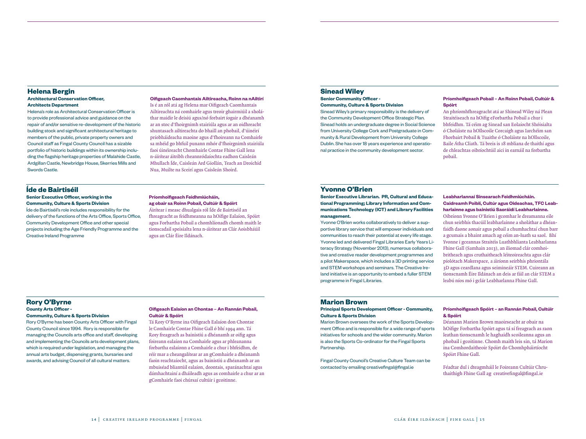## **Helena Bergin Architectural Conservation Officer,**

## **Architects Department**

Helena's role as Architectural Conservation Officer is to provide professional advice and guidance on the repair of and/or sensitive re-development of the historic building stock and significant architectural heritage to members of the public, private property owners and Council staff as Fingal County Council has a sizable portfolio of historic buildings within its ownership including the flagship heritage properties of Malahide Castle, Ardgillan Castle, Newbridge House, Skerries Mills and Swords Castle.

#### **Oifigeach Caomhantais Ailtireacha, Roinn na nAiltirí**

Is é an ról atá ag Helena mar Oifigeach Caomhantais Ailtireachta ná comhairle agus treoir ghairmiúil a sholáthar maidir le deisiú agus/nó forbairt íogair a dhéanamh ar an stoc d'fhoirgnimh stairiúla agus ar an oidhreacht shuntasach ailtireachta do bhaill an phobail, d'úinéirí príobháideacha maoine agus d'fhoireann na Comhairle sa mhéid go bhfuil punann mhór d'fhoirgnimh stairiúla faoi úinéireacht Chomhairle Contae Fhine Gall lena n-áírítear áitribh cheannródaíochta eadhon Caisleán Mhullach Íde, Caisleán Ard Giollán, Teach an Droichid Nua, Muilte na Sceirí agus Caisleán Shoird.

## **Íde de Bairtiséil**

#### **Senior Executive Officer, working in the Community, Culture & Sports Division**

Íde de Bairtiséil's role includes responsibility for the delivery of the functions of the Arts Office, Sports Office, Community Development Office and other special projects including the Age Friendly Programme and the Creative Ireland Programme

#### **Príomhoifigeach Feidhmiúcháin, ag obair sa Roinn Pobail, Cultúír & Spóirt**

Áirítear i measc dhualgais ról Íde de Bairtiséil an fhreagracht as feidhmeanna na hOifige Ealaíon, Spóirt agus Forbartha Pobail a chomhlíonadh chomh maith le tionscadail speisialta lena n-áiritear an Clár Aoisbháúil agus an Clár Éire Ildánach.

## **Sinead Wiley**

**Senior Community Officer - Community, Culture & Sports Division**

Sinead Wiley's primary responsibility is the delivery of the Community Development Office Strategic Plan. Sinead holds an undergraduate degree in Social Science from University College Cork and Postgraduate in Community & Rural Development from University College Dublin. She has over 18 years experience and operational practice in the community development sector.

#### **Príomhoifigeach Pobail – An Roinn Pobail, Cultúír & Spóirt**

An phríomhfhreagracht atá ar Shinead Wiley ná Plean Straitéiseach na hOifig eForbartha Pobail a chur i bhfeidhm. Tá céim ag Sinead san Eolaíocht Shóisialta ó Choláiste na hOllscoile Corcaigh agus Iarchéim san Fhorbairt Pobail & Tuaithe ó Choláiste na hOllscoile, Baile Átha Cliath. Tá breis is 18 mbliana de thaithí agus de chleachtas oibríochtúil aici in earnáil na forbartha pobail.

#### **Yvonne O'Brien**

#### **Senior Executive Librarian. PR, Cultural and Educational Programming; Library Information and Communications Technology (ICT) and Library Facilities management.**

Yvonne O'Brien works collaboratively to deliver a supportive library service that will empower individuals and communities to reach their potential at every life stage. Yvonne led and delivered Fingal Libraries Early Years Literacy Strategy (November 2013), numerous collaborative and creative reader development programmes and a pilot Makerspace, which includes a 3D printing service and STEM workshops and seminars. The Creative Ireland initiative is an opportunity to embed a fuller STEM programme in Fingal Libraries.

#### **Leabharlannaí Sinsearach Feidhmiúcháin. Caidreamh Poiblí, Cultúr agus Oideachas, TFC Leabharlainne agus bainistiú Saoráidí Leabharlainne.**

Oibríonn Yvonne O'Brien i gcomhar le dreamanna eile chun seirbhís thacúil leabharlainne a sholáthar a dhéanfaidh daone aonair agus pobail a chumhachtaí chun barr a gcumais a bhaint amach ag céim an-luath sa saol. Bhí Yvonne i gceannas Straitéis Luathbhlianta Leabharlanna Fhine Gall (Samhain 2013), an iliomad clár comhoibritheach agus cruthaitheach léiteoireachta agus clár píolótach Makerspace, a áiríonn seirbhís phriontála 3D agus ceardlana agus seimineáir STEM. Cuireann an tionscnamh Éire Ildánach an deis ar fáil an clár STEM a leabú níos mó i gclár Leabharlanna Fhine Gall.

#### **Rory O'Byrne County Arts Officer - Community, Culture & Sports Division**

Rory O'Byrne has been County Arts Officer with Fingal County Council since 1994. Rory is responsible for managing the Councils arts office and staff, developing and implementing the Councils arts development plans, which is required under legislation, and managing the annual arts budget, dispensing grants, bursaries and awards, and advising Council of all cultural matters.

#### **Oifigeach Ealaíon an Chontae – An Rannán Pobail, Cultúír & Spóirt**

Tá Rory O'Byrne ina Oifigeach Ealaíon don Chontae le Comhairle Contae Fhine Gall ó bhí 1994 ann. Tá Rory freagrach as bainistiú a dhéanamh ar oifig agus foireann ealaíon na Comhairle agus ar phleananna forbartha ealaíonn a Comhairle a chur i bhfeidhm, de réír mar a cheangalítear ar an gComhairle a dhéanamh faoin reachtaíocht, agus as bainistiú a dhéanamh ar an mbuiséad bliantúil ealaíon, deontais, sparánachtaí agus dámhachtainí a dháileadh agus as comhairle a chur ar an gComhairle faoi chúrsaí cultúir i gcoitinne.

#### **Marion Brown**

#### **Principal Sports Development Officer - Community, Culture & Sports Division**

Marion Brown oversees the work of the Sports Development Office and is responsible for a wide range of sports initiatives for schools and the wider community. Marion is also the Sports Co-ordinator for the Fingal Sports Partnership.

Fingal County Council's Creative Culture Team can be contacted by emailing creativefingal@fingal.ie

#### **Príomhoifigeach Spóirt – an Rannán Pobail, Cultúir & Spóirt**

Déanann Marion Brown maoirseacht ar obair na hOifige Forbartha Spóirt agus tá sí freagrach as raon leathan tionscnamh le haghaidh scoileanna agus an phobail i gcoitinne. Chomh maith leis sin, tá Marion ina Comhordaitheoir Spóirt do Chomhpháirtíocht Spóirt Fhine Gall.

Féadtar dul i dteagmháil le Foireann Cultúir Chruthaithigh Fhine Gall ag creativefingal@fingal.ie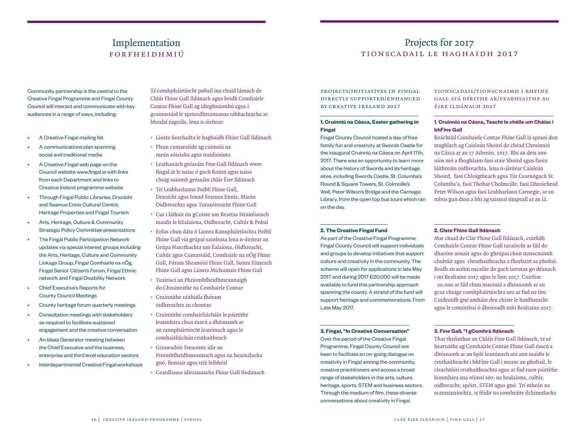## Implementation forfheidhmiú

Community partnership is the central to the Creative Fingal Programme and Fingal County Council will interact and communicate with key audiences in a range of ways, including:

- A Creative Fingal mailing list
- A communications plan spanning social and traditional media
- A Creative Fingal web page on the Council website www.fingal.ie with links from each Department and links to Creative Ireland programme website
- Through Fingal Public Libraries, Draoícht and Seamus Ennis Cultural Centre, Heritage Properties and Fingal Tourism
- Arts, Heritage, Culture & Community Strategic Policy Committee presentations
- The Fingal Public Participation Network updates via special interest groups including the Arts, Heritage, Culture and Community Linkage Group, Fingal Comhairle na nÓg, Fingal Senior Citizen's Forum, Fingal Ethnic network and Fingal Disability Network
- Chief Executive's Reports for County Council Meetings
- County heritage forum quarterly meetings
- Consultation meetings with stakeholders as required to facilitate sustained engagement and the creative conversation
- An Ideas Generator meeting between the Chief Executive and the business, enterprise and third level education sectors
- Interdepartmental Creative Fingal workshops

Tá comhpháirtíocht pobail ina chuid lárnach de Chlár Fhine Gall Ildánach agus beidh Comhairle Contae Fhine Gall ag idirghníomhú agus i gcumarsáid le spriocdhreamanna tábhachtacha ar bhealaí éagsúla, lena n-áirítear:

- Liosta Seachadta le haghaidh Fhine Gall Ildánach
- Plean cumarsáide ag cuimsiú na meán sóisialta agus traidisiúnta
- Leathanach gréasáin Fine Gall Ildánach www. fingal.ie le naisc ó gach Roinn agus naisc chuig suíomh gréasáin chlár Éire Ildánach
- Trí Leabharlanna Poiblí Fhine Gall, Draoícht agus Ionad Seamus Ennis, Maoin Oidhreachta agus Turasóireacht Fhine Gall
- Cur i láthair ón gCoiste um Beartas Straitéiseach maidir le hEalaíona, Oidhreacht, Cultúr & Pobal
- Eolas chun dáta ó Líonra Rannpháirtíochta Poiblí Fhine Gall via grúpaí sainleasa lena n-áirítear an Grúpa Nascthachta um Ealaíona, Oidhreacht, Cultúr agus Cumarsáid, Comhairle na nÓg Fhine Gall, Fóram Sheanóirí Fhine Gall, líonra Eitneach Fhine Gall agus Líonra Míchumais Fhine Gall
- Tuairiscí an Phríomhfheidhmeannaigh do Chruinnithe na Comhairle Contae
- Cruinnithe ráithiúla fhóram oidhreachta an chontae
- Cruinnithe comhairliúcháin le páirtithe leasmhara chun éascú a dhéanamh ar an rannpháirtíocht leanúnach agus le comhairliúchán cruthaitheach
- Ginneadóir Smaointe idir an Príomhfheidhmeannach agus na hearnálacha gnó, fiontair agus tríú leibhéal
- Ceardlanna idirrannacha Fhine Gall Ilndánach

## Projects for 2017 tionscadail le haghaidh 2017

projects/initiatives in fingal directly supported/enhanced by creative ireland 2017

## **1. Cruinniú na Cásca, Easter gathering in Fingal**

Fingal County Council hosted a day of free family fun and creativity at Swords Castle for the inaugural Cruinniú na Cásca on April 17th, 2017. There was an opportunity to learn more about the history of Swords and its heritage sites, including Swords Castle, St. Columba's Round & Square Towers, St. Colmcille's Well, Peter Wilson's Bridge and the Carnegie Library, from the open top bus tours which ran on the day.

#### **2. The Creative Fingal Fund**

As part of the Creative Fingal Programme, Fingal County Council will support individuals and groups to develop initiatives that support culture and creativity in the community. The scheme will open for applications in late May 2017 and during 2017 €20,000 will be made available to fund this partnership approach spanning the county. A strand of the fund will support heritage and commemorations. From Late May 2017.

## **3. Fingal, "In Creative Conversation"**

Over the period of the Creative Fingal Programme, Fingal County Council are keen to facilitate an on-going dialogue on creativity in Fingal among the community, creative practitioners and across a broad range of stakeholders in the arts, culture, heritage, sports, STEM and business sectors. Through the medium of film, these diverse conversations about creativity in Fingal

## tionscadail/tionscnaimh i bhfine gall atá dírithe ar/feabhsaithe ag éire ildánach 2017

## **1. Cruinniú na Cásca, Teacht le chéile um Cháisc i bhFine Gall**

Reáchtáil Comhairle Contae Fhine Gall lá spraoi don teaghlach ag Caisleán Shoird do chéad Chruinniú na Cásca ar an 17 Aibreán, 2017. Bhí an deis ann níos mó a fhoghlaim faoi stair Shoird agus faoin láithreáin oidhreachta, lena n-áirítear Caisleán Shoird, faoi Chloigtheach agus Túr Cearnógach St. Columba's, faoi Thobar Cholmcille, faoi Dhroichead Peter Wilson agus faoi Leabharlann Carnegie, ar an mbus gan díon a bhí ag taisteal timpeall ar an lá.

#### **2. Ciste Fhine Gall Ildánach**

Mar chuid de Clár Fhine Gall Ildánach, cuirfidh Comhairle Contae Fhine Gall tacaíocht ar fáil do dhaoine aonair agus do ghrúpaí chun tionscnaimh chultúir agus chruthaitheacha a fhorbairt sa phobal. Beidh an scéim oscailte do gach iarratas go déanach i mí Bealtaine 2017 agus le linn 2017. Cuirfear €20,000 ar fáil chun maoiniú a dhéanamh ar an gcur chuige comhpháirtíochta seo ar fud na tíre. Cuideoidh gné amháin den chiste le hoidhreacht agus le comórthaí ó dheireadh mhí Bealtaine 2017.

#### **3. Fine Gall, "I gComhrá Ildánach**

Thar thréimhse an Chláir Fine Gall Ildánach, tá sé beartaithe ag Comhairle Contae Fhine Gall éascú a dhéanamh ar an bplé leanúnach atá ann maidir le cruthaitheacht i bhFine Gall i measc an phobail, le cleachtóirí cruthaitheachta agus ar fud raon páirtithe leasmhara sna réimsí seo: na healaíona, cultúr, oidhreacht, spóirt, STEM agus gnó. Trí mheán na scannánaíochta, is féidir na comhráite ilchineálacha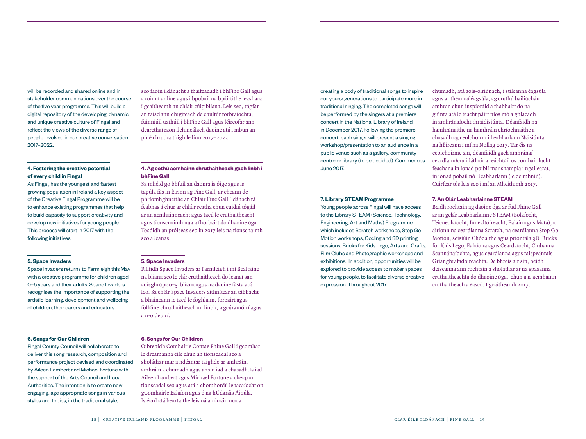will be recorded and shared online and in stakeholder communications over the course of the five year programme. This will build a digital repository of the developing, dynamic and unique creative culture of Fingal and reflect the views of the diverse range of people involved in our creative conversation. 2017–2022.

## **4. Fostering the creative potential of every child in Fingal**

As Fingal, has the youngest and fastest growing population in Ireland a key aspect of the Creative Fingal Programme will be to enhance existing programmes that help to build capacity to support creativity and develop new initiatives for young people. This process will start in 2017 with the following initiatives.

#### **5. Space Invaders**

Space Invaders returns to Farmleigh this May with a creative programme for children aged 0–5 years and their adults. Space Invaders recognises the importance of supporting the artistic learning, development and wellbeing of children, their carers and educators.

#### **6. Songs for Our Children**

Fingal County Council will collaborate to deliver this song research, composition and performance project devised and coordinated by Aileen Lambert and Michael Fortune with the support of the Arts Council and Local Authorities. The intention is to create new engaging, age appropriate songs in various styles and topics, in the traditional style,

seo faoin ildánacht a thaifeadadh i bhFine Gall agus a roinnt ar líne agus i bpobail na bpáirtithe leashara i gcaitheamh an chláir cúig bliana. Leis seo, tógfar an taisclann dhigiteach de chultúr forbraíochta, fuinniúil uathúil i bhFine Gall agus léireofar ann dearcthaí raon ilchineálach daoine atá i mbun an phlé chruthaithigh le linn 2017–2022.

## **4. Ag cothú acmhainn chruthaitheach gach linbh i bhFine Gall**

Sa mhéid go bhfuil an daonra is óige agus is tapúla fás in Éirinn ag Fine Gall, ar cheann de phríomhghnéithe an Chláir Fine Gall Ildánach tá feabhas á chur ar chláir reatha chun cuidiú tógáil ar an acmhainneacht agus tacú le cruthaitheacht agus tionscnaimh nua a fhorbairt do dhaoine óga. Tosóidh an próiseas seo in 2017 leis na tionscnaimh seo a leanas.

#### **5. Space Invaders**

Fillfidh Space Invaders ar Farmleigh i mí Bealtaine na bliana seo le clár cruthaitheach do leanaí san aoisghrúpa 0–5 bliana agus na daoine fásta atá leo. Sa chlár Space Invaders aithnítear an tábhacht a bhaineann le tacú le foghlaim, forbairt agus folláine chruthaitheach an linbh, a gcúramóirí agus a n-oideoirí.

#### **6. Songs for Our Children**

Oibreoidh Comhairle Contae Fhine Gall i gcomhar le dreamanna eile chun an tionscadal seo a sholáthar mar a ndéantar taighde ar amhráin, amhráin a chumadh agus ansin iad a chasadh.Is iad Aileen Lambert agus Michael Fortune a cheap an tionscadal seo agus atá á chomhordú le tacaíocht ón gComhairle Ealaíon agus ó na hÚdaráis Áitiúla. Is éard atá beartaithe leis ná amhráin nua a

creating a body of traditional songs to inspire our young generations to participate more in traditional singing. The completed songs will be performed by the singers at a premiere concert in the National Library of Ireland in December 2017. Following the premiere concert, each singer will present a singing workshop/presentation to an audience in a public venue such as a gallery, community centre or library (to be decided). Commences June 2017.

#### **7. Library STEAM Programme**

Young people across Fingal will have access to the Library STEAM (Science, Technology, Engineering, Art and Maths) Programme, which includes Scratch workshops, Stop Go Motion workshops, Coding and 3D printing sessions, Bricks for Kids Lego, Arts and Crafts, Film Clubs and Photographic workshops and exhibitions. In addition, opportunities will be explored to provide access to maker spaces for young people, to facilitate diverse creative expression. Throughout 2017.

chumadh, atá aois-oiriúnach, i stíleanna éagsúla agus ar théamaí éagsúla, ag cruthú bailiúchán amhrán chun inspioráid a thabhairt do na glúnta atá le teacht páirt níos mó a ghlacadh in amhránaíocht thraidisiúnta. Déanfaidh na hamhránaithe na hamhráin chríochnaithe a chasadh ag ceolchoirm i Leabharlann Náisiúnta na hÉireann i mí na Nollag 2017. Tar éis na ceolchoirme sin, déanfaidh gach amhránaí ceardlann/cur i láthair a reáchtáil os comhair lucht féachana in ionad poiblí mar shampla i ngailearaí, in ionad pobail nó i leabharlann (le deimhniú). Cuirfear tús leis seo i mí an Mheithimh 2017.

#### **7. An Clár Leabharlainne STEAM**

Beidh rochtain ag daoine óga ar fud Fhine Gall ar an gclár Leabharlainne STEAM (Eolaíocht, Teicneolaíocht, Innealtóireacht, Ealaín agus Mata), a áiríonn na ceardlanna Scratch, na ceardlanna Stop Go Motion, seisiúin Chódaithe agus priontála 3D, Bricks for Kids Lego, Ealaíona agus Ceardaíocht, Clubanna Scannánaíochta, agus ceardlanna agus taispeántais Grianghrafadóireachta. De bhreis air sin, beidh deiseanna ann rochtain a sholáthar ar na spásanna cruthaitheachta do dhaoine óga, chun a n-acmhainn cruthaitheach a éascú. I gcaitheamh 2017.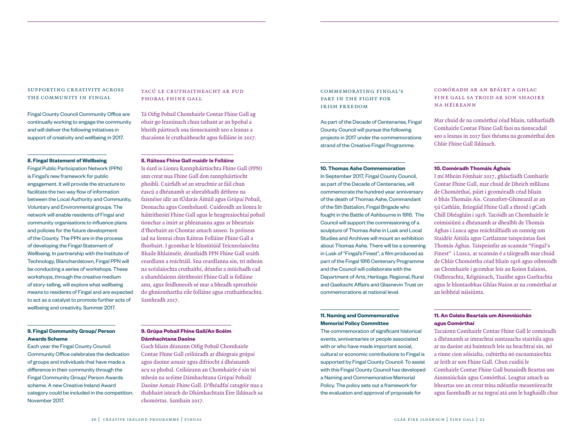## supporting creativity across the community in fingal

Fingal County Council Community Office are continually working to engage the community and will deliver the following initiatives in support of creativity and wellbeing in 2017.

#### **8. Fingal Statement of Wellbeing**

Fingal Public Participation Network (PPN) is Fingal's new framework for public engagement. It will provide the structure to facilitate the two way flow of information between the Local Authority and Community, Voluntary and Environmental groups. The network will enable residents of Fingal and community organisations to influence plans and policies for the future development of the County. The PPN are in the process of developing the Fingal Statement of Wellbeing. In partnership with the Institute of Technology, Blanchardstown, Fingal PPN will be conducting a series of workshops. These workshops, through the creative medium of story-telling, will explore what wellbeing means to residents of Fingal and are expected to act as a catalyst to promote further acts of wellbeing and creativity. Summer 2017.

#### **9. Fingal Community Group/ Person Awards Scheme**

Each year the Fingal County Council Community Office celebrates the dedication of groups and individuals that have made a difference in their community through the Fingal Community Group/ Person Awards scheme. A new Creative Ireland Award category could be included in the competition. November 2017.

## tacú le cruthaitheacht ar fud phobal fhine gall

Tá Oifig Pobail Chomhairle Contae Fhine Gall ag obair go leanúnach chun tathant ar an bpobal a bheith páirteach sna tionscnaimh seo a leanas a thacaíonn le cruthaitheacht agus folláine in 2017.

#### **8. Ráiteas Fhine Gall maidir le Folláine**

Is éard is Líonra Rannpháirtíochta Fhine Gall (PPN) ann creat nua Fhine Gall don rannpháirtíocht phoiblí. Cuirfidh sé an struchtúr ar fáil chun éascú a dhéanamh ar shreabhadh déthreo na faisnéise idir an tÚdarás Áitiúil agus Grúpaí Pobail, Deonacha agus Comhshaoil. Cuideoidh an líonra le háitritheoirí Fhine Gall agus le heagreaíochtaí pobail tionchar a imirt ar phleananna agus ar bheartais d'fhorbairt an Chontae amach anseo. Is próiseas iad na líonraí chun Ráiteas Folláine Fhine Gall a fhorbairt. I gcomhar le hInstitiúid Teicneolaíochta Bhaile Bhlainséir, déanfaidh PPN Fhine Gall sraith ceardlann a reáchtáil. Sna ceardlanna sin, trí mheán na scéalaíochta cruthaithí, déanfar a iniúchadh cad a shamhlaíonn áitritheoirí Fhine Gall is folláine ann, agus feidhmeoih sé mar a bheadh spreathóir do ghníomhartha eile folláine agus cruthaitheachta. Samhradh 2017.

**9. Grúpa Pobail Fhine Gall/An Scéim** 

Gach bliain déanann Oifig Pobail Chomhairle Contae Fhine Gall ceiliúradh ar dhíograis grúpaí agus daoine aonair agus difríocht á dhéanamh acu sa phobal. Ceiliúrann an Chomhairle é sin trí mheán na scéime Dámhachtana Grúpaí Pobail/ Daoine Aonair Fhine Gall. D'fhéadfaí catagóir nua a thabhairt isteach do Dhámhachtain Éire Ildánach sa

**Dámhachtana Daoine**

chomórtas. Samhain 2017.

## commemorating fingal's part in the fight for irish freedom

As part of the Decade of Centenaries, Fingal County Council will pursue the following projects in 2017 under the commemorations strand of the Creative Fingal Programme.

#### **10. Thomas Ashe Commemoration**

In September 2017, Fingal County Council, as part of the Decade of Centenaries, will commemorate the hundred year anniversary of the death of Thomas Ashe, Commandant of the 5th Battalion, Fingal Brigade who fought in the Battle of Ashbourne in 1916. The Council will support the commissioning of a sculpture of Thomas Ashe in Lusk and Local Studies and Archives will mount an exhibition about Thomas Ashe. There will be a screening in Lusk of "Fingal's Finest", a film produced as part of the Fingal 1916 Centenary Programme and the Council will collaborate with the Department of Arts, Heritage, Regional, Rural and Gaeltacht Affairs and Glasnevin Trust on commemorations at national level.

## **11. Naming and Commemorative Memorial Policy Committee**

The commemoration of significant historical events, anniversaries or people associated with or who have made important social, cultural or economic contributions to Fingal is supported by Fingal County Council. To assist with this Fingal County Council has developed a Naming and Commemorative Memorial Policy. The policy sets out a framework for the evaluation and approval of proposals for

## comóradh ar an bpáirt a ghlac fine gall sa troid ar son shaoire na héireann

Mar chuid de na comórthaí céad bliain, tabharfaidh Comhairle Contae Fhine Gall faoi na tionscadail seo a leanas in 2017 faoi théama na gcomórthaí den Chlár Fhine Gall Ildánach.

#### **10. Comóradh Thomáis Ághais**

I mí Mheán Fómhair 2017, ghlacfaidh Comhairle Contae Fhine Gall, mar chuid de Dheich mBliana de Chomórthaí, páirt i gcomóradh céad bliain ó bhás Thomáis Áis. Ceannfort-Ghinearál ar an 5ú Cathlán, Briogáid Fhine Gall a throid i gCath Chill Dhéagláin i 1916. Tacóidh an Chomhairle le coimisiúnú a dhéanamh ar dhealbh de Thomás Ághas i Lusca agus reáchtálfaidh an rannóg um Staidéir Áitiúla agus Cartlainne taispeántas faoi Thomás Ághas. Taispeánfar an scannán "Fingal's Finest" i Lusca, ar scannán é a táirgeadh mar chuid de Chlár Chomórtha céad bliain 1916 agus oibreoidh an Chomhairle i gcomhar leis an Roinn Ealaíon, Oidhreachta, Réigiúnach, Tuaithe agus Gaeltachta agus le hIontaobhas Ghlas Naíon ar na comórthaí ar an leibhéal náisiúnta.

## **11. An Coiste Beartais um Ainmniúchán agus Comórthaí**

Tacaíonn Comhairle Contae Fhine Gall le comóradh a dhéanamh ar imeachtaí suntasacha stairiúla agus ar na daoine atá bainteach leis na heachtraí sin, nó a rinne cion sóisialta, cultúrtha nó eacnamaíochta ar leith ar son Fhine Gall. Chun cuidiú le Comhairle Contae Fhine Gall bunaíodh Beartas um Ainmniúchán agus Comórthaí. Leagtar amach sa bheartas seo an creat trína ndéanfar meastóireacht agus faomhadh ar na tograí atá ann le haghaidh chur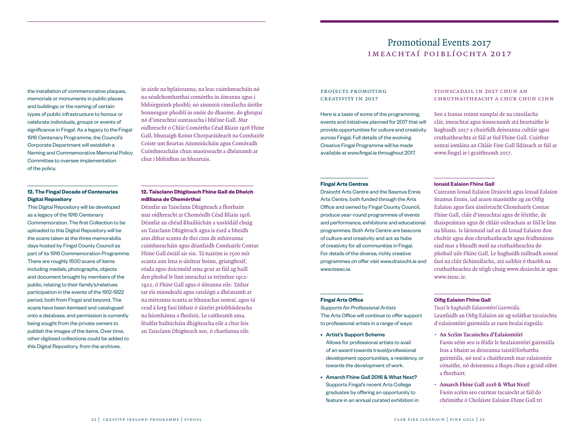## Promotional Events 2017 imeachtaí poiblíochta 2017

the installation of commemorative plaques, memorials or monuments in public places and buildings; or the naming of certain types of public infrastructure to honour or celebrate individuals, groups or events of significance in Fingal. As a legacy to the Fingal 1916 Centenary Programme, the Council's Corporate Department will establish a Naming and Commemorative Memorial Policy Committee to oversee implementation of the policy.

## **12. The Fingal Decade of Centenaries Digital Repository**

This Digital Repository will be developed as a legacy of the 1916 Centenary Commemoration. The first Collection to be uploaded to this Digital Repository will be the scans taken at the three memorabilia days hosted by Fingal County Council as part of its 1916 Commemoration Programme. There are roughly 1500 scans of items including medals, photographs, objects and document brought by members of the public, relating to their family's/relatives participation in the events of the 1912-1922 period, both from Fingal and beyond. The scans have been itemised and catalogued onto a database, and permission is currently being sought from the private owners to publish the images of the items. Over time, other digitised collections could be added to this Digital Repository, from the archives.

in airde na bplaiceanna, na leac cuimhneacháin nó na séadchomharthaí comórtha in áiteanna agus i bhfoirgnimh phoiblí; nó ainmniú cineálacha áirithe bonneagair phoiblí in onóir do dhaoine, do ghrupaí nó d'imeachtaí suntasacha i bhFine Gall. Mar oidhreacht ó Chlár Comórtha Céad Bliain 1916 Fhine Gall, bhunaigh Roinn Chorparáideach na Comhairle Coiste um Beartas Ainmniúcháin agus Comóradh Cuimhneacháin chun maoirseacht a dhéanamh ar chur i bhfeidhm an bheartais.

## **12. Taisclann Dhigiteach Fhine Gall de Dheich mBliana de Chomórthaí**

Déanfar an Taisclann Dhigiteach a fhorbairt mar oidhreacht ar Chomórdh Céad Bliain 1916. Déanfar an chéad Bhailiúchán a uaslódáil chuig an Taisclann Dhigiteach agus is éard a bheidh ann ábhar scanta de thrí cinn de mhíreanna cuimhneacháin agus déanfaidh Comhairle Contae Fhine Gall óstáil air sin. Tá tuairim is 1500 mír scanta ann lena n-áirítear boinn, grianghraif, réada agus doiciméid arna gcur ar fáil ag baill den phobal le linn imeachaí sa tréimhse 1912- 1922, ó Fhine Gall agus ó áiteanna eile. Táthar tar éis miondealú agus catalógú a dhéanamh ar na míreanna scanta ar bhunachar sonraí, agus tá cead á lorg faoi láthair ó úinéirí príobháideacha na híomhánna a fhoilsiú. Le caitheamh ama, féadfar bailiúcháin dhigiteacha eile a chur leis an Taisclann Dhigiteach seo, ó chartlanna eile.

#### projects promoting creativity in 2017

Here is a taste of some of the programming, events and initiatives planned for 2017 that will provide opportunities for culture and creativity across Fingal. Full details of the evolving Creative Fingal Programme will be made available at www.fingal.ie throughout 2017.

## tionscadail in 2017 chun an chruthaitheacht a chur chun cinn

Seo a leanas roinnt samplaí de na cineálacha clár, imeachtaí agus tionscnamh atá beartaithe le haghaidh 2017 a chuirfidh deiseanna cultúir agus cruthaitheachta ar fáil ar fud Fhine Gall. Cuirfear sonraí iomlána an Chláir Fine Gall Ildánach ar fáil ar www.fingal.ie i gcaitheamh 2017.

#### **Fingal Arts Centres**

Draíocht Arts Centre and the Seamus Ennis Arts Centre, both funded through the Arts Office and owned by Fingal County Council, produce year-round programmes of events and performance, exhibitions and educational programmes. Both Arts Centre are beacons of culture and creativity and act as hubs of creativity for all communities in Fingal. For details of the diverse, richly creative programmes on offer visit www.draiocht.ie and www.tseac.ie.

#### **Ionaid Ealaíon Fhine Gall**

Cuireann Ionad Ealaíon Draíocht agus Ionad Ealaíon Seamus Ennis, iad araon maoinithe ag an Oifig Ealaíon agus faoi úinéireacht Chomhairle Contae Fhine Gall, cláir d'imeachtaí agus de léirithe, de thaispeántais agus de chláir oideachais ar fáil le linn na bliana. Is lárionaid iad an dá Ionad Ealaíon don chultúr agus don chruthaitheacht agus feidhmíonn siad mar a bheadh moil na cruthaitheachta do phobail uile Fhine Gall. Le haghaidh tuilleadh sonraí faoi na cláir ilchineálacha, atá saibhir ó thaobh na cruthaitheachta de téigh chuig www.draiocht.ie agus www.tseac.ie.

#### **Fingal Arts Office**

*Supports for Professional Artists* The Arts Office will continue to offer support to professional artists in a range of ways:

- Artist's Support Scheme Allows for professional artists to avail of an award towards travel/professional development opportunities, a residency, or towards the development of work.
- Amarch Fhine Gall 2016 & What Next? Supports Fingal's recent Arts College graduates by offering an opportunity to feature in an annual curated exhibition in

#### **Oifig Ealaíon Fhine Gall**

*Tacaí le haghaidh Ealaiontóirí Gairmiúla.*  Leanfaidh an Oifig Ealaíon air ag soláthar tacaíochta d'ealaíontóirí gairmiúla ar raon bealaí éagsúla:

- **• An Scéim Tacaíochta d'Ealaíontóirí**  Faoin séim seo is féidir le healaíontóirí gairmiúla leas a bhaint as deiseanna taistil/forbartha gairmiúla, nó seal a chaitheamh mar ealaíontóir cónaithe, nó deiseanna a thapu chun a gcuid oibre a fhorbairt.
- **• Amarch Fhine Gall 2016 & What Next?**  Faoin scéim seo cuirtear tacaíocht ar fáil do chéimithe ó Choláiste Ealaíon Fhine Gall trí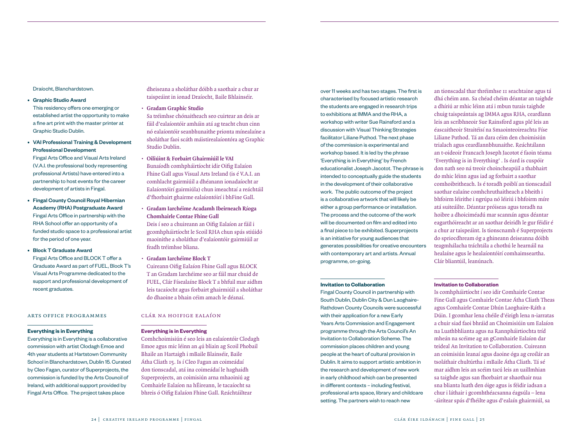Draíocht, Blanchardstown.

- Graphic Studio Award
- This residency offers one emerging or established artist the opportunity to make a fine art print with the master printer at Graphic Studio Dublin.
- VAI Professional Training & Development Professional Development

Fingal Arts Office and Visual Arts Ireland (V.A.I. the professional body representing professional Artists) have entered into a partnership to host events for the career development of artists in Fingal.

- Fingal County Council Royal Hibernian Academy (RHA) Postgraduate Award Fingal Arts Office in partnership with the RHA School offer an opportunity of a funded studio space to a professional artist for the period of one year.
- Block T Graduate Award Fingal Arts Office and BLOCK T offer a Graduate Award as part of FUEL, Block T's Visual Arts Programme dedicated to the support and professional development of recent graduates.

#### arts office programmes

#### **Everything is in Everything**

Everything is in Everything is a collaborative commission with artist Clodagh Emoe and 4th year students at Hartstown Community School in Blanchardstown, Dublin 15. Curated by Cleo Fagan, curator of Superprojects, the commission is funded by the Arts Council of Ireland, with additional support provided by Fingal Arts Office. The project takes place

dheiseana a sholáthar dóibh a saothair a chur ar taispeáint in ionad Draíocht, Baile Bhlainséir.

- **• Gradam Graphic Studio**
- Sa tréimhse chónaitheach seo cuirtear an deis ar fáil d'ealaíontóir amháin atá ag teacht chun cinn nó ealaíontóir seanbhunaithe prionta mínealaíne a sholáthar faoi scáth máistirealaíontóra ag Graphic Studio Dublin.
- **• Oiliúint & Forbairt Ghairmiúil le VAI** Bunaíodh comhpháirtíocht idir Oifig Ealaíon Fhine Gall agus Visual Arts Ireland (is é V.A.I. an comhlacht gairmiúil a dhéanann ionadaíocht ar Ealaíontóirí gairmiúla) chun imeachtaí a reáchtáil d'fhorbairt ghairme ealaíontóirí i bhFine Gall.
- **• Gradam Iarchéime Acadamh Ibeirneach Ríoga Chomhairle Contae Fhine Gall**

Deis í seo a chuireann an Oifig Ealaíon ar fáil i gcomhpháirtíocht le Scoil RHA chun spás stiúidó maoinithe a sholáthar d'ealaíontóir gairmiúil ar feadh tréimhse bliana.

- **• Gradam Iarchéime Block T**
- Cuireann Oifig Ealaíon Fhine Gall agus BLOCK T an Gradam Iarchéime seo ar fáil mar chuid de FUEL, Clár Físealaíne Block T a bhfuil mar aidhm leis tacaíocht agus forbairt ghairmiúil a sholáthar do dhaoine a bhain céim amach le déanaí.

## clár na hoifige ealaíon

#### **Everything is in Everything**

Comhchoimisiún é seo leis an ealaíontóir Clodagh Emoe agus mic léinn an 4ú bliain ag Scoil Phobail Bhaile an Hartaigh i mBaile Blainséir, Baile Átha Cliath 15. Is í Cleo Fagan an coimeádaí don tionscadal, atá ina coimeádaí le haghaidh Superprojects, an coimisiún arna mhaoiniú ag Comhairle Ealaíon na hÉireann, le tacaíocht sa bhreis ó Oifig Ealaíon Fhine Gall. Reáchtáiltear

over 11 weeks and has two stages. The first is characterised by focused artistic research the students are engaged in research trips to exhibitions at IMMA and the RHA, a workshop with writer Sue Rainsford and a discussion with Visual Thinking Strategies facilitator Liliane Puthod. The next phase of the commission is experimental and workshop based. It is led by the phrase 'Everything is in Everything' by French educationalist Joseph Jacotot. The phrase is intended to conceptually guide the students in the development of their collaborative work. The public outcome of the project is a collaborative artwork that will likely be either a group performance or installation. The process and the outcome of the work will be documented on film and edited into a final piece to be exhibited. Superprojects is an initiative for young audiences that generates possibilities for creative encounters with contemporary art and artists. Annual programme, on-going.

#### **Invitation to Collaboration**

Fingal County Council in partnership with South Dublin, Dublin City & Dun Laoghaire-Rathdown County Councils were successful with their application for a new Early Years Arts Commission and Engagement programme through the Arts Council's An Invitation to Collaboration Scheme. The commission places children and young people at the heart of cultural provision in Dublin. It aims to support artistic ambition in the research and development of new work in early childhood which can be presented in different contexts – including festival, professional arts space, library and childcare setting. The partners wish to reach new

an tionscadal thar thréimhse 11 seachtaine agus tá dhá chéim ann. Sa chéad chéim déantar an taighde a dhíriú ar mhic léinn atá i mbun turais taighde chuig taispeántais ag IMMA agus RHA, ceardlann leis an scríbhneoir Sue Rainsford agus plé leis an éascaitheoir Straitéisí na Smaointeoireachta Físe Liliane Puthod. Tá an dara céim den choimisiún trialach agus ceardlannbhunaithe. Reáchtálann an t-oideoir Francach Joseph Jacotot é faoin téama 'Everything is in Everything' . Is éard is cuspóir don nath seo ná treoir choincheapúil a thabhairt do mhic léinn agus iad ag forbairt a saothar comhoibritheach. Is é toradh poiblí an tionscadail saothar ealaíne comhchruthaitheach a bheith i bhfoirm léirithe i ngrúpa nó léiriú i bhfoirm míre atá suiteáilte. Déantar próiseas agus toradh na hoibre a dhoiciméadú mar scannán agus déantar eagarthóireacht ar an saothar deiridh le gur féidir é a chur ar taispeáint. Is tionscnamh é Superprojects do spriocdhream óg a ghineann deiseanna dóibh teagmhálacha tráchtála a chothú le hearnáil na healaíne agus le healaíontóirí comhaimseartha. Clár bliantúil, leanúnach.

#### **Invitation to Collaboration**

Is comhpháirtíocht í seo idir Comhairle Contae Fine Gall agus Comhairle Contae Átha Cliath Theas agus Comhairle Contae Dhún Laoghaire-Ráth a Dúin. I gcomhar lena chéile d'éirigh lena n-iarratas a chuir siad faoi bhráid an Choimisiúin um Ealaíon na Luathbhlianta agus na Rannpháirtiochta tríd mheán na scéime ag an gComhairle Ealaíon dar teideal An Invitation to Collaboration. Cuireann an coimisiún leanaí agus daoine óga ag croílár an tsoláthair chultúrtha i mBaile Átha Cliath. Tá sé mar aidhm leis an scéim tacú leis an uaillmhian sa taighde agus san fhorbairt ar shaothair nua sna blianta luath den óige agus is féidir iadsan a chur i láthair i gcomhthéacsanna éagsúla – lena -áirítear spás d'fhéilte agus d'ealaín ghairmiúl, sa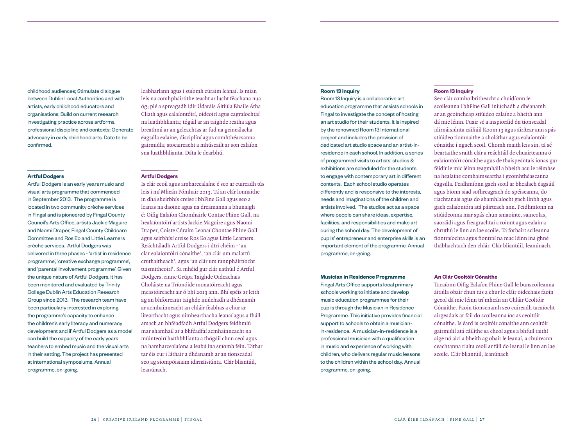childhood audiences; Stimulate dialogue between Dublin Local Authorities and with artists, early childhood educators and organisations; Build on current research investigating practice across artforms, professional discipline and contexts; Generate advocacy in early childhood arts. Date to be confirmed.

#### **Artful Dodgers**

Artful Dodgers is an early years music and visual arts programme that commenced in September 2013. The programme is located in two community crèche services in Fingal and is pioneered by Fingal County Council's Arts Office, artists Jackie Maguire and Naomi Draper, Fingal County Childcare Committee and Ros Eo and Little Learners crèche services. Artful Dodgers was delivered in three phases - 'artist in residence programme', 'creative exchange programme', and 'parental involvement programme'. Given the unique nature of Artful Dodgers, it has been monitored and evaluated by Trinity College Dublin Arts Education Research Group since 2013. The research team have been particularly interested in exploring the programme's capacity to enhance the children's early literacy and numeracy development and if Artful Dodgers as a model can build the capacity of the early years teachers to embed music and the visual arts in their setting. The project has presented at international symposiums. Annual programme, on-going.

leabharlann agus i suíomh cúraim leanaí. Is mian leis na comhpháirtithe teacht ar lucht féachana nua óg; plé a spreagadh idir Údaráis Áitiúla Bhaile Átha Cliath agus ealaíontóirí, oideoirí agus eagraíochtaí na luathbhlianta; tógáil ar an taighde reatha agus breathnú ar an gcleachtas ar fud na gcineálacha éagsúla ealaíne, disciplíní agus comhthéacsanna gairmiúla; stocaireacht a mhúscailt ar son ealaíon sna luathbhlianta. Dáta le dearbhú.

#### **Artful Dodgers**

Is clár ceoil agus amharcealaíne é seo ar cuireadh tús leis i mí Mheán Fómhair 2013. Tá an clár lonnaithe in dhá sheirbhís creise i bhFine Gall agus seo a leanas na daoine agus na dreamanna a bhunaigh é: Oifig Ealaíon Chomhairle Contae Fhine Gall, na healaíontóirí artists Jackie Maguire agus Naomi Draper, Coiste Cúraim Leanaí Chontae Fhine Gall agus seirbhísí creise Ros Eo agus Little Learners. Reáchtáladh Artful Dodgers i dtrí chéim - 'an clár ealaíontóirí cónaithe', 'an clár um malartú cruthaitheach', agus 'an clár um rannpháirtíocht tuismitheoirí'. Sa mhéid gur clár uathúil é Artful Dodgers, rinne Grúpa Taighde Oideachais Choláiste na Tríonóide monatóireacht agus meastóireacht air ó bhí 2013 ann. Bhí spéis ar leith ag an bhfoireann taighde iniúchadh a dhéanamh ar acmhainneacht an chláir feabhas a chur ar litearthacht agus uimhearthacha leanaí agus a fháil amach an bhféadfadh Artful Dodgers feidhmiú mar shamhail ar a bhféadfaí acmhainneacht na múinteoirí luathbhlianta a thógáil chun ceol agus na hamharcealaíona a leabú ina suíomh féin. Táthar tar éis cur i láthair a dhéanamh ar an tionscadal seo ag siompóisiaim idirnáisiúnta. Clár bliantúil, leanúnach.

#### **Room 13 Inquiry**

Room 13 Inquiry is a collaborative art education programme that assists schools in Fingal to investigate the concept of hosting an art studio for their students. It is inspired by the renowned Room 13 International project and includes the provision of dedicated art studio space and an artist-inresidence in each school. In addition, a series of programmed visits to artists' studios & exhibitions are scheduled for the students to engage with contemporary art in different contexts. Each school studio operates differently and is responsive to the interests, needs and imaginations of the children and artists involved. The studios act as a space where people can share ideas, expertise, facilities, and responsibilities and make art during the school day. The development of pupils' entrepreneur and enterprise skills is an important element of the programme. Annual programme, on-going.

#### **Musician in Residence Programme**

Fingal Arts Office supports local primary schools working to initiate and develop music education programmes for their pupils through the Musician in Residence Programme. This initiative provides financial support to schools to obtain a musicianin-residence. A musician-in-residence is a professional musician with a qualification in music and experience of working with children, who delivers regular music lessons to the children within the school day. Annual programme, on-going.

## **Room 13 Inquiry**

Seo clár comhoibritheacht a chuidíonn le scoileanna i bhFine Gall iniúchadh a dhéanamh ar an gcoincheap stiúideo ealaíne a bheith ann dá mic léinn. Fuair sé a inspioráid ón tionscadal idirnáisiúnta cáiliúil Room 13 agus áirítear ann spás stiúideo tiomnaithe a sholáthar agus ealaíontóir cónaithe i ngach scoil. Chomh maith leis sin, tá sé beartaithe sraith clár a reáchtáil de chuairteanna ó ealaíontóírí cónaithe agus de thaispeántais ionas gur féidir le mic léinn teagmháil a bheith acu le réimhse na healaíne comhaimseartha i gcomhthéascanna éagsúla. Feidhmíonn gach scoil ar bhealach éagsúil agus bíonn siad sofhreagrach do spéiseanna, do riachtanais agus do shamhlaíocht gach linbh agus gach ealaíontóra atá páirteach ann. Feidhmíonn na stiúideonna mar spás chun smaointe, saineolas, saoráidí agus freagrachtaí a roinnt agus ealaín a chruthú le linn an lae scoile. Tá forbairt scileanna fiontraíochta agus fiontraí na mac léinn ina ghné thábhachtach den chlár. Clár bliantúil, leanúnach.

#### **An Clár Ceoltóir Cónaithe**

Tacaíonn Oifig Ealaíon Fhine Gall le bunscoileanna áitiúla obair chun tús a chur le cláir oidechais faoin gceol dá mic léinn trí mheán an Chláir Ceoltóir Cónaithe. Faoin tionscnamh seo cuireadh tacaíocht airgeadais ar fáil do scoileanna íoc as ceoltóir cónaithe. Is éard is ceoltóir cónaithe ann ceoltóir gairmiúil atá cáilithe sa cheol agus a bhfuil taithí aige nó aici a bheith ag obair le leanaí, a chuireann ceachtanna rialta ceoil ar fáil do leanaí le linn an lae scoile. Clár bliantúil, leanúnach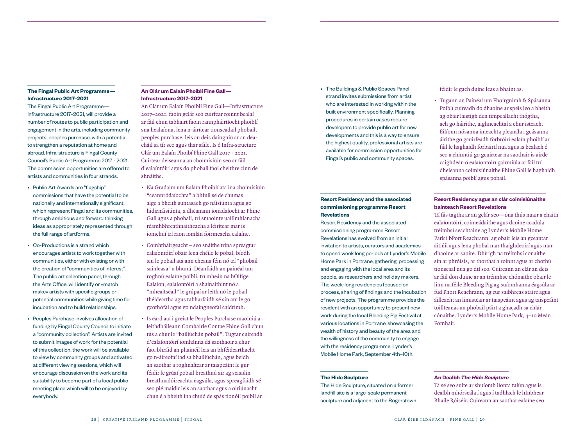## **The Fingal Public Art Programme— Infrastructure 2017–2021**

The Fingal Public Art Programme— Infrastructure 2017–2021, will provide a number of routes to public participation and engagement in the arts, including community projects, peoples purchase, with a potential to strengthen a reputation at home and abroad. Infra-structure is Fingal County Council's Public Art Programme 2017 - 2021. The commission opportunities are offered to artists and communities in four strands.

- Public Art Awards are "flagship" commissions that have the potential to be nationally and internationally significant, which represent Fingal and its communities, through ambitious and forward thinking ideas as appropriately represented through the full range of artforms.
- Co-Productions is a strand which encourages artists to work together with communities, either with existing or with the creation of "communities of interest". The public art selection panel, through the Arts Office, will identify or «match make» artists with specific groups or potential communities while giving time for incubation and to build relationships.
- Peoples Purchase involves allocation of funding by Fingal County Council to initiate a "community collection". Artists are invited to submit images of work for the potential of this collection, the work will be available to view by community groups and activated at different viewing sessions, which will encourage discussion on the work and its suitability to become part of a local public meeting place which will to be enjoyed by everybody.

## **An Clár um Ealaín Phoiblí Fine Gall— Infrastructure 2017–2021**

An Clár um Ealaín Phoiblí Fine Gall—Infrastructure 2017–2021, faoin gclár seo cuirfear roinnt bealaí ar fáil chun tabhairt faoin rannpháirtíocht phoiblí sna healaíona, lena n-áirítear tionscadail phobail, peoples purchase, leis an deis daingniú ar an deacháil sa tír seo agus thar sáile. Is é Infra-structure Clár um Ealaín Phoibí Fhine Gall 2017 - 2021. Cuirtear deiseanna an choimisiúin seo ar fáil d'ealaíntóiri agus do phobail faoi cheithre cinn de shnáithe.

- Na Gradaim um Ealaín Phoiblí atá ina choimisiúin "ceannródaíochta" a bhfuil sé de chumas aige a bheith suntasach go náisiúnta agus go hidirnáisiúnta, a dhéanann ionadaíocht ar Fhine Gall agus a phobail, trí smaointe uaillmhianacha réamhbhreathnaitheacha a léirítear mar is iomchuí trí raon iomlán foirmeacha ealaíne.
- Comhtháirgeacht seo snáithe trína spreagtar ealaíontóirí obair lena chéile le pobal, bíodh sin le pobail atá ann cheana féin nó trí "phobail sainleasa" a bhunú. Déanfaidh an painéal um roghnú ealaíne poiblí, trí mheán na hOifige Ealaíon, ealaíontóirí a shainaithint nó a "mheaitséail" le grúpaí ar leith nó le pobail fhéideartha agus tabharfaidh sé sin am le go gcothófaí agus go ndaingneofaí caidrimh.
- Is éard atá i gceist le Peoples Purchase maoiniú a leithdháileann Comhairle Contae Fhine Gall chun tús a chur le "bailiúchán pobail". Tugtar cuireadh d'ealaíontóirí iomhánna dá saothaoir a chur faoi bhráid an phainéil leis an bhféidearthacht go n-áireofaí iad sa bhailiúchán, agus beidh an saothar a roghnaítear ar taispeáint le gur féidir le grúaí pobail breathnú air ag seisiúin breathnadóireachta éagsúla, agus spreagfaidh sé seo plé maidir leis an saothar agus a oiriúnacht chun é a bheith ina chuid de spás tionóil poiblí ar

• The Buildings & Public Spaces Panel strand invites submissions from artist who are interested in working within the built environment specifically. Planning procedures in certain cases require developers to provide public art for new developments and this is a way to ensure the highest quality, professional artists are available for commission opportunities for Fingal's public and community spaces.

## **Resort Residency and the associated commissioning programme Resort Revelations**

Resort Residency and the associated commissioning programme Resort Revelations has evolved from an initial invitation to artists, curators and academics to spend week long periods at Lynder's Mobile Home Park in Portrane, gathering, processing and engaging with the local area and its people, as researchers and holiday makers. The week-long residencies focused on process, sharing of findings and the incubation of new projects. The programme provides the resident with an opportunity to present new work during the local Bleeding Pig Festival at various locations in Portrane, showcasing the wealth of history and beauty of the area and the willingness of the community to engage with the residency programme. Lynder's Mobile Home Park, September 4th–10th.

#### **The Hide Sculpture**

The Hide Sculpture, situated on a former landfill site is a large-scale permanent sculpture and adjacent to the Rogerstown

### féidir le gach duine leas a bhaint as.

• Tugann an Painéal um Fhoirgnimh & Spásanna Poiblí cuireadh do dhaoine ar spéis leo a bheith ag obair laistigh den timpeallacht thógtha, ach go háirithe, aighneachtaí a chur isteach. Éilíonn nósanna imeachta pleanála i gcásanna áirithe go gcuirfeadh forbróirí ealaín phoiblí ar fáil le haghaidh forbairtí nua agus is bealach é seo a chinntiú go gcuirtear na saothair is airde caighdeán ó ealaíontóirí gairmiúla ar fáil trí dheieanna coimisiúnaithe Fhine Gall le haghaidh spásanna poiblí agus pobail.

## **Resort Residency agus an clár coimisiúnaithe bainteach Resort Revelations**

Tá fás tagtha ar an gclár seo—óna thús nuair a chaith ealaíontóirí, coimeádaithe agus daoine acadúla tréimhsí seachtaine ag Lynder's Mobile Home Park i bPort Reachrann, ag obair leis an gceantar áitiúil agus lena phobal mar thaighdeoirí agus mar dhaoine ar saoire. Dhírigh na tréimhsí conaithe sin ar phróisis, ar thorthaí a roinnt agus ar chothú tionscaal nua go dtí seo. Cuireann an clár an deis ar fáil don duine ar an tréimhse chónaithe obair le linn na féile Bleeding Pig ag suíomhanna éagsúla ar fud Phort Reachrann, ag cur saibhreas staire agus áilleacht an limistéair ar taispeáint agus ag taispeáint toillteanas an phobail páirt a ghacadh sa chlár cónaithe. Lynder's Mobile Home Park, 4–10 Meán Fómhair.

### **An Dealbh** *The Hide Sculpture*

Tá sé seo suite ar shuíomh líonta talún agus is dealbh mhórscála í agus í tadhlach le hInbhear Bhaile Róiséir. Cuireann an saothar ealaíne seo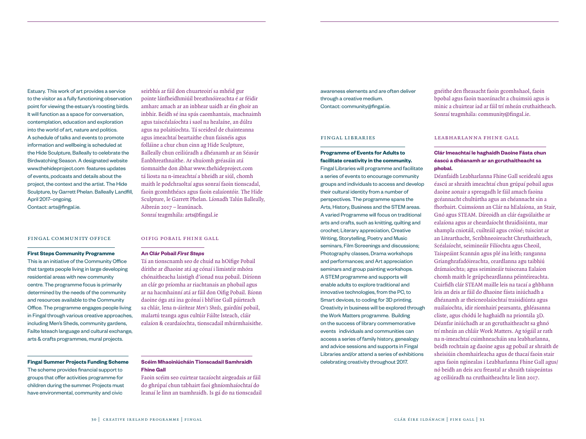Estuary. This work of art provides a service to the visitor as a fully functioning observation point for viewing the estuary's roosting birds. It will function as a space for conversation, contemplation, education and exploration into the world of art, nature and politics. A schedule of talks and events to promote information and wellbeing is scheduled at the Hide Sculpture, Balleally to celebrate the Birdwatching Season. A designated website www.thehideproject.com features updates of events, podcasts and details about the project, the context and the artist. The Hide Sculpture, by Garrett Phelan. Balleally Landfill, April 2017–ongoing. Contact: arts@fingal.ie.

#### fingal community office

#### **First Steps Community Programme**

This is an initiative of the Community Office that targets people living in large developing residential areas with new community centre. The programme focus is primarily determined by the needs of the community and resources available to the Community Office. The programme engages people living in Fingal through various creative approaches, including Men's Sheds, community gardens, Failte Isteach language and cultural exchange, arts & crafts programmes, mural projects.

**Fingal Summer Projects Funding Scheme**  The scheme provides financial support to groups that offer activities programme for children during the summer. Projects must have environmental, community and civic

pointe lánfheidhmiúil breathnóireachta é ar féidir amharc amach ar an inbhear uaidh ar éin ghoir an inbhir. Beidh sé ina spás caomhantais, machnaimh agus taiscéalaíochta i saol na healaíne, an dúlra agus na polaitíochta. Tá sceideal de chainteanna agus imeachtaí beartaithe chun faisnéis agus folláine a chur chun cinn ag Hide Sculpture, Balleally chun ceiliúradh a dhéanamh ar an Séasúr Éanbhreathnaithe. Ar shuíomh gréasáin atá tiomnaithe don ábhar www.thehideproject.com tá liosta na n-imeachtaí a bheidh ar siúl, chomh maith le podchraoltaí agus sonraí faoin tionscadal, faoin gcomhthéacs agus faoin ealaíontóir. The Hide Sculpture, le Garrett Phelan. Líonadh Talún Balleally, Aibreán 2017 – leanúnach. Sonraí teagmhála: arts@fingal.ie

seirbhís ar fáil don chuarteoirí sa mhéid gur

#### oifig pobail fhine gall

#### **An Clár Pobail** *First Steps*

Tá an tionscnamh seo de chuid na hOifige Pobail dírithe ar dhaoine atá ag cónaí i limistéir mhóra chónaitheacha laistigh d'ionad nua pobail. Díríonn an clár go príomha ar riachtanais an phobail agus ar na hacmhainní atá ar fáil don Oifig Pobail. Bíonn daoine óga atá ina gcónaí i bhFine Gall páirteach sa chlár, lena n-áirítear *Men's Sheds*, gairdíní pobail, malartú teanga agus cultúir Fáilte Isteach, cláir ealaíon & ceardaíochta, tionscadail mhúrmhaisithe.

#### **Scéim Mhaoiniúcháin Tionscadail Samhraidh Fhine Gall**

Faoin scéim seo cuirtear tacaíocht airgeadais ar fáil do ghrúpaí chun tabhairt faoi ghníomhaíochtaí do leanaí le linn an tsamhraidh. Is gá do na tionscadail awareness elements and are often deliver through a creative medium. Contact: community@fingal.ie.

#### fingal libraries

**Programme of Events for Adults to facilitate creativity in the community.**  Fingal Libraries will programme and facilitate a series of events to encourage community groups and individuals to access and develop their cultural identity from a number of perspectives. The programme spans the Arts, History, Business and the STEM areas. A varied Programme will focus on traditional arts and crafts, such as knitting, quilting and crochet; Literary appreciation, Creative Writing, Storytelling, Poetry and Music seminars, Film Screenings and discussions; Photography classes, Drama workshops and performances; and Art appreciation seminars and group painting workshops. A STEM programme and supports will enable adults to explore traditional and innovative technologies, from the PC, to Smart devices, to coding for 3D printing. Creativity in business will be explored through the Work Matters programme. Building on the success of library commemorative events individuals and communities can access a series of family history, genealogy and advice sessions and supports in Fingal Libraries and/or attend a series of exhibitions celebrating creativity throughout 2017.

gnéithe den fheasacht faoin gcomhshaol, faoin bpobal agus faoin tsaoránacht a chuimsiú agus is minic a chuirtear iad ar fáil trí mheán cruthaitheach. Sonraí teagmhála: community@fingal.ie.

#### leabharlanna fhine gall

## **Clár Imeachtaí le haghaidh Daoine Fásta chun éascú a dhéanamh ar an gcruthaitheacht sa phobal.**

Déanfaidh Leabharlanna Fhine Gall sceidealú agus éascú ar shraith imeachtaí chun grúpaí pobail agus daoine aonair a spreagadh le fáil amach faoina gcéannacht chultúrtha agus an chéannacht sin a fhorbairt. Cuimsíonn an Clár na hEalaíona, an Stair, Gnó agus STEAM. Díreoidh an clár éagsúlaithe ar ealaíona agus ar cheardaíocht thraidisiúnta, mar shampla cniotáil, cuilteáil agus cróisé; tuiscint ar an Litearthacht, Scríbhneoireacht Chruthaitheach, Scéalaíocht, seimineáir Filíochta agus Cheoil, Taispeáint Scannán agus plé ina leith; ranganna Grianghrafadóireachta, ceardlanna agu taibhiú drámaíochta; agus seimineáir tuisceana Ealaíon chomh maith le grúpcheardlanna péintéireachta. Cuirfidh clár STEAM maille leis na tacaí a ghbhann leis an deis ar fáil do dhaoine fásta iniúchadh a dhéanamh ar theicneolaíochtaí traisidiúnta agus nuálaíochta, idir ríomhairí pearsanta, ghléasanna cliste, agus chódú le haghaidh na priontála 3D. Déanfar iniúchadh ar an gcruthaitheacht sa ghnó trí mheán an chláir Work Matters. Ag tógáil ar rath na n-imeachtaí cuimhneacháin sna leabharlanna, beidh rochtain ag daoine agus ag pobail ar shraith de sheisiúin chomhairleacha agus de thacaí faoin stair agus faoin nginealas i Leabharlanna Fhine Gall agus/ nó beidh an deis acu freastal ar shraith taispeántas ag ceiliúradh na cruthaitheachta le linn 2017.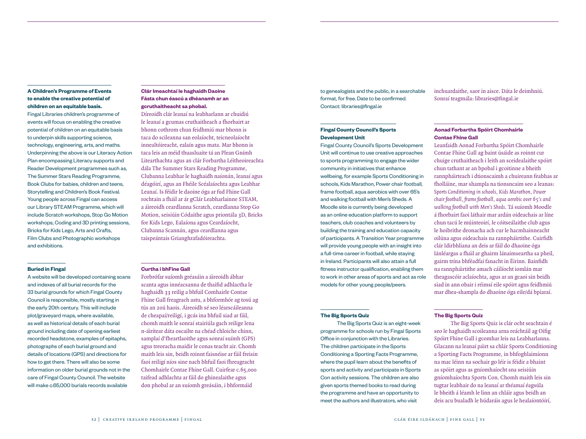## **A Children's Programme of Events to enable the creative potential of children on an equitable basis.**

Fingal Libraries children's programme of events will focus on enabling the creative potential of children on an equitable basis to underpin skills supporting science, technology, engineering, arts, and maths. Underpinning the above is our Literacy Action Plan encompassing Literacy supports and Reader Development programmes such as, The Summer Stars Reading Programme, Book Clubs for babies, children and teens, Storytelling and Children's Book Festival. Young people across Fingal can access our Library STEAM Programme, which will include Scratch workshops, Stop Go Motion workshops, Coding and 3D printing sessions, Bricks for Kids Lego, Arts and Crafts, Film Clubs and Photographic workshops and exhibitions.

#### **Buried in Fingal**

A website will be developed containing scans and indexes of all burial records for the 33 burial grounds for which Fingal County Council is responsible, mostly starting in the early 20th century. This will include plot/graveyard maps, where available, as well as historical details of each burial ground including date of opening earliest recorded headstone, examples of epitaphs, photographs of each burial ground and details of locations (GPS) and directions for how to get there. There will also be some information on older burial grounds not in the care of Fingal County Council. The website will make c.65,000 burials records available

## **Clár Imeachtaí le haghaidh Daoine Fásta chun éascú a dhéanamh ar an gcruthaitheacht sa phobal.**

Díreoidh clár leanaí na leabharlann ar chuidiú le leanaí a gcumas cruthaitheach a fhorbairt ar bhonn cothrom chun feidhmiú mar bhonn is taca do scileanna san eolaíocht, teicneolaíocht innealtóireacht, ealaín agus mata. Mar bhonn is taca leis an méid thuasluaite tá an Plean Gnímh Litearthachta agus an clár Forbartha Léitheoireachta dála The Summer Stars Reading Programme, Clubanna Leabhar le haghaidh naíonán, leanaí agus déagóirí, agus an Fhéile Scéalaíochta agus Leabhar Leanaí. Is féidir le daoine óga ar fud Fhine Gall rochtain a fháil ar ár gClár Leabharlainne STEAM, a áireoidh ceardlanna Scratch, ceardlanna Stop Go Motion, seisiúin Códaithe agus priontála 3D, Bricks for Kids Lego, Ealaíona agus Ceardaíocht, Clubanna Scannán, agus ceardlanna agus taispeántais Grianghrafadóireachta.

#### **Curtha i bhFine Gall**

Forbrófar suíomh gréasáin a áireoidh ábhar scanta agus innéacsanna de thaifid adhlactha le haghaidh 33 reilig a bhfuil Comhairle Contae Fhine Gall freagrach astu, a bhformhór ag tosú ag tús an 20ú haois. Áireoidh sé seo léarscáileanna de cheapaí/reiligí, i gcás ina bhfuil siad ar fáil, chomh maith le sonraí stairiúla gach reilige lena n-áirítear dáta oscailte na chéad chloiche chinn, samplaí d'fheartlaoithe agus sonraí suímh (GPS) agus treoracha maidir le conas teacht air. Chomh maith leis sin, beidh roinnt faisnéise ar fáil freisin faoi reiligí níos sine nach bhfuil faoi fhreagracht Chomhairle Contae Fhine Gall. Cuirfear c.65,000 taifead adhlachta ar fáil do ghinealaithe agus don phobal ar an suíomh greásáin, i bhformáid

to genealogists and the public, in a searchable format, for free. Date to be confirmed. Contact: libraries@fingal.ie

## inchuardaithe, saor in aisce. Dáta le deimhniú. Sonraí teagmála: libraries@fingal.ie

## **Fingal County Council's Sports Development Unit**

Fingal County Council's Sports Development Unit will continue to use creative approaches to sports programming to engage the wider community in initiatives that enhance wellbeing, for example Sports Conditioning in schools, Kids Marathon, Power chair football, frame football, aqua aerobics with over 65's and walking football with Men's Sheds. A Moodle site is currently being developed as an online education platform to support teachers, club coaches and volunteers by building the training and education capacity of participants. A Transition Year programme will provide young people with an insight into a full-time career in football, while staying in Ireland. Participants will also attain a full fitness instructor qualification, enabling them to work in other areas of sports and act as role models for other young people/peers.

#### **The Big Sports Quiz**

The Big Sports Quiz is an eight-week programme for schools run by Fingal Sports Office in conjunction with the Libraries. The children participate in the Sports Conditioning a Sporting Facts Programme, where the pupil learn about the benefits of sports and activity and participate in Sports Con activity sessions. The children are also given sports themed books to read during the programme and have an opportunity to meet the authors and illustrators, who visit

## **Aonad Forbartha Spóirt Chomhairle Contae Fhine Gall**

Leanfaidh Aonad Forbartha Spóirt Chomhairle Contae Fhine Gall ag baint úsáide as roinnt cur chuige cruthaitheach i leith an sceidealaithe spóirt chun tathant ar an bpobal i gcoitinne a bheith rannpháirteach i dtionscaimh a chuireann feabhas ar fholláine, mar shampla na tionsncaim seo a leanas: *Sports Conditioning in schools, Kids Marathon, Power chair football, frame football, aqua aerobic over 65's and walking football with Men's Sheds*. Tá suíomh Moodle á fhorbairt faoi láthair mar ardán oideachais ar líne chun tacú le múinteoirí, le cóitseálaithe club agus le hoibrithe deonacha ach cur le hacmhainneacht oilúna agus oideachais na rannpháirtithe. Cuirfidh clár Idirbhliana an deis ar fáil do dhaoine óga lánléargas a fháil ar ghairm lánaimseartha sa pheil, gairm trína bhféadfaí fanacht in Éirinn. Bainfidh na rannpháirtithe amach cáilíocht iomlán mar theagascóir aclaíochta, agus ar an gcaoi sin beidh siad in ann obair i réimsí eile spóirt agus feidhmiú mar dhea-shampla do dhaoine óga eile/dá bpiaraí.

#### **The Big Sports Quiz**

The Big Sports Quiz is clár ocht seachtain é seo le haghaidh scoileanna arna reáchtáil ag Oifig Spóirt Fhine Gall i gcomhar leis na Leabharlanna. Glacann na leanaí páirt sa chlár Sports Conditioning a Sporting Facts Programme, in bhfoghlaimíonn na mac léinn na sochair go léir is féidir a bhaint as spóirt agus as gníomhaíocht sna seisiúin gníomhaíochta Sports Con. Chomh maith leis sin tugtar leabhair do na leanaí ar théamaí éagsúla le bheith á léamh le linn an chláir agus beidh an deis acu bualadh le húdaráis agus le healaíontóírí,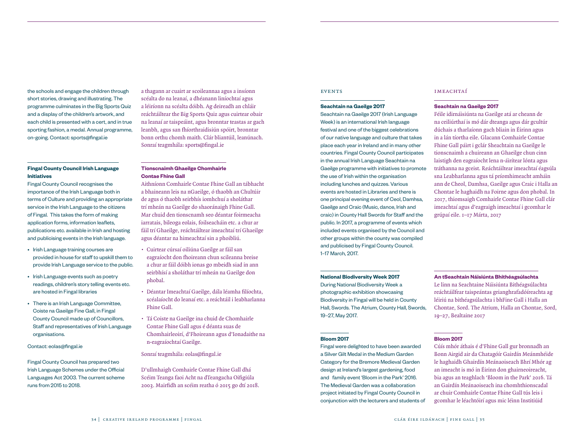the schools and engage the children through short stories, drawing and illustrating. The programme culminates in the Big Sports Quiz and a display of the children's artwork, and each child is presented with a cert, and in true sporting fashion, a medal. Annual programme, on-going. Contact: sports@fingal.ie

### **Fingal County Council Irish Language Initiatives**

Fingal County Council recognises the importance of the Irish Language both in terms of Culture and providing an appropriate service in the Irish Language to the citizens of Fingal. This takes the form of making application forms, information leaflets, publications etc. available in Irish and hosting and publicising events in the Irish language.

- Irish Language training courses are provided in house for staff to upskill them to provide Irish Language service to the public.
- Irish Language events such as poetry readings, children's story telling events etc. are hosted in Fingal libraries
- There is an Irish Language Committee, Coiste na Gaeilge Fine Gall, in Fingal County Council made up of Councillors, Staff and representatives of Irish Language organisations.

#### Contact: eolas@fingal.ie

Fingal County Council has prepared two Irish Language Schemes under the Official Languages Act 2003. The current scheme runs from 2015 to 2018.

a thagann ar cuairt ar scoileannaa agus a insíonn scéalta do na leanaí, a dhéanann liníochtaí agus a léiríonn na scéalta dóibh. Ag deireadh an chláir reáchtáiltear the Big Sports Quiz agus cuirtear obair na leanaí ar taispeáint, agus bronntar teastas ar gach leanbh, agus san fhíorthraidisiún spóirt, bronntar bonn orthu chomh maith. Clár bliantúil, leanúnach. Sonraí teagmhála: sports@fingal.ie

## **Tionscnaimh Ghaeilge Chomhairle Contae Fhine Gall**

Aithníonn Comhairle Contae Fhine Gall an tábhacht a bhaineann leis na nGaeilge, ó thaobh an Chultúir de agus ó thaobh seirbhís iomhchuí a sholáthar trí mheán na Gaeilge do shaoránaigh Fhine Gall. Mar chuid den tionscnamh seo déantar foirmeacha iarratais, bileoga eolais, foilseacháin etc. a chur ar fáil trí Ghaeilge, reáchtáiltear imeachtaí trí Ghaeilge agus déantar na himeachtaí sin a phoibliú.

- Cuirtear cúrsaí oiliúna Gaeilge ar fáil san eagraíocht don fhoireann chun scileanna breise a chur ar fáil dóibh ionas go mbeidh siad in ann seirbhísí a sholáthar trí mheán na Gaeilge don phobal.
- Déantar Imeachtaí Gaeilge, dála léamha filíochta, scéalaíocht do leanaí etc. a reáchtáil i leabharlanna Fhine Gall.
- Tá Coiste na Gaeilge ina chuid de Chomhairle Contae Fhine Gall agus é déanta suas de Chomhairleoirí, d'Fhoireann agus d'Ionadaithe na n-eagraíochtaí Gaeilge.

#### Sonraí teagmhála: eolas@fingal.ie

D'ullmhaigh Comhairle Contae Fhine Gall dhá Scéim Teanga faoi Acht na dTeangacha Oifigiúla 2003. Mairfidh an scéim reatha ó 2015 go dtí 2018.

#### **EVENTS**

#### **Seachtain na Gaeilge 2017**

Seachtain na Gaeilge 2017 (Irish Language Week) is an international Irish language festival and one of the biggest celebrations of our native language and culture that takes place each year in Ireland and in many other countries. Fingal County Council participates in the annual Irish Language Seachtain na Gaeilge programme with initiatives to promote the use of Irish within the organisation including lunches and quizzes. Various events are hosted in Libraries and there is one principal evening event of Ceol, Damhsa, Gaeilge and Craic (Music, dance, Irish and craic) in County Hall Swords for Staff and the public. In 2017, a programme of events which included events organised by the Council and other groups within the county was compiled and publicised by Fingal County Council. 1–17 March, 2017.

### **IMEACHTAÍ**

#### **Seachtain na Gaeilge 2017**

Féile idirnáisiúnta na Gaeilge atá ar cheann de na ceiliúrthaí is mó dár dteanga agus dár gcultúr dúchais a tharlaíonn gach bliain in Éirinn agus in a lán tíortha eile. Glacann Comhairle Contae Fhine Gall páirt i gclár Sheachtain na Gaeilge le tionscnaimh a chuireann an Ghaeilge chun cinn laistigh den eagraíocht lena n-áirítear lónta agus tráthanna na gceist. Reáchtáiltear imeachtaí éagsúla sna Leabharlanna agus tá príomhimeacht amháin ann de Cheol, Damhsa, Gaeilge agus Craic i Halla an Chontae le haghaidh na Foirne agus don phobal. In 2017, thiomsaigh Comhairle Contae Fhine Gall clár imeachtaí agus d'eagraigh imeachtaí i gcomhar le grúpaí eile. 1–17 Márta, 2017

#### **National Biodiversity Week 2017**

During National Biodiversity Week a photographic exhibition showcasing Biodiversity in Fingal will be held in County Hall, Swords. The Atrium, County Hall, Swords, 19–27, May 2017.

#### **Bloom 2017**

Fingal were delighted to have been awarded a Silver Gilt Medal in the Medium Garden Category for the Bremore Medieval Garden design at Ireland's largest gardening, food and family event 'Bloom in the Park' 2016. The Medieval Garden was a collaboration project initiated by Fingal County Council in conjunction with the lecturers and students of

#### **An tSeachtain Náisiúnta Bhithéagsúlachta**

Le linn na Seachtaine Náisiúnta Bithéagsúlachta reáchtáilfear taispeántas grianghrafadóíreachta ag léiriú na bithéagsúlachta i bhFine Gall i Halla an Chontae, Sord. The Atrium, Halla an Chontae, Sord, 19–27, Bealtaine 2017

#### **Bloom 2017**

Cúís mhór áthais é d'Fhine Gall gur bronnadh an Bonn Airgid air da Chatagóír Gairdín Meánmhéide le haghaidh Ghairdín Meánaoiseach Bhrí Mhór ag an imeacht is mó in Éirinn don ghairneoireacht, bia agus an teaghlach 'Bloom in the Park' 2016. Tá an Gairdín Meánaoiseach ina chomhthionscadal ar chuir Comhairle Contae Fhine Gall tús leis i gcomhar le léachtóirí agus mic léinn Institiúid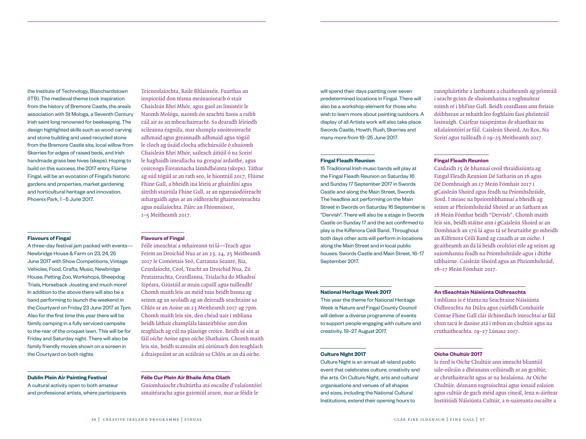the Institute of Technology, Blanchardstown (ITB). The medieval theme took inspiration from the history of Bremore Castle, the area's association with St Mologa, a Seventh Century Irish saint long renowned for beekeeping. The design highlighted skills such as wood carving and stone building and used recycled stone from the Bremore Castle site, local willow from Skerries for edges of raised beds, and Irish handmade grass bee hives (skeps). Hoping to build on this success, the 2017 entry, Flúirse Fingal, will be an evocation of Fingal's historic gardens and properties, market gardening and horticultural heritage and innovation. Phoenix Park, 1 –5 June 2017.

#### **Flavours of Fingal**

A three-day festival jam packed with events— Newbridge House & Farm on 23, 24, 25 June 2017 with Show Competitions, Vintage Vehicles, Food, Crafts, Music, Newbridge House, Petting Zoo, Workshops, Sheepdog Trials, Horseback Jousting and much more! In addition to the above there will also be a band performing to launch the weekend in the Courtyard on Friday 23 June 2017 at 7pm. Also for the first time this year there will be family camping in a fully serviced campsite to the rear of the croquet lawn. This will be for Friday and Saturday night. There will also be family friendly movies shown on a screen in the Courtyard on both nights

#### **Dublin Plein Air Painting Festival**

A cultural activity open to both amateur and professional artists, where participants Teicneolaíochta, Baile Bhlainséir. Fuarthas an inspioráid don téama meánaoiseach ó stair Chaisleán Bhrí Mhór, agus gaol an limistéir le Naomh Mológa, naomh ón seachtú haois a raibh cáil air as an mbeachaireacht. Sa dearadh léiríodh scileanna éagsúla, mar shampla snoiteoireacht adhmaid agus greannadh adhmaid agus tógáil le cloch ag úsáid clocha athchúrsáile ó shuíomh Chaisleán Bhrí Mhór, saileach áitiúil ó na Sceirí le haghaidh imeallacha na gceapaí ardaithe, agus coirceoga Éireannacha lámhdhéanta (skeps). Táthar ag súil tógáil ar an rath seo, le hiontráil 2017, Flúirse Fhine Gall, a bheidh ina léiriú ar ghairdíní agus áitribh stairiúla Fhine Gall, ar an ngarraíodóireacht mhargaidh agus ar an oidhreacht ghairneoireachta agus nuálaíochta. Páirc an Fhionnuisce, 1–5 Meitheamh 2017.

## **Flavours of Fingal**

Féile imeachtaí a mhaireann trí lá—Teach agus Feirm an Droichid Nua ar an 23, 24, 25 Meitheamh 2017 le Comórtais Seó, Carranna Seanré, Bia, Ceardaíocht, Ceol, Teacht an Droichid Nua, Zú Peataireachta, Ceardlanna, Trialacha do Mhadraí Sipéara, Giústáil ar muin capaill agus tuilleadh! Chomh maith leis an méid tuas beidh banna ag seinm ag an seoladh ag an deireadh seachtaine sa Chlós ar an Aoine an 23 Meitheamh 2017 ag 7pm. Chomh maith leis sin, den chéad uair i mbliana beidh láthair champlála lánseirbhíse ann don teaghlach ag cúl na plásóige cróice. Beidh sé sin ar fáil oíche Aoine agus oíche Shathairn. Chomh maith leis sin, beidh scannáin atá oiriúnach don teaghlach á dtaispeáint ar an scáileán sa Chlós ar an dá oíche.

#### **Féile Cur Plein Air Bhaile Átha Cliath**

Gníomhaíocht chultúrtha atá oscailte d'ealaíontóirí amaitéaracha agus gairmiúl araon, mar ar féidir le

will spend their days painting over seven predetermined locations in Fingal. There will also be a workshop element for those who wish to learn more about painting outdoors. A display of all Artists work will also take place. Swords Castle, Howth, Rush, Skerries and many more from 19–25 June 2017.

#### **Fingal Fleadh Reunion**

15 Traditional Irish music bands will play at the Fingal Fleadh Reunion on Saturday 16 and Sunday 17 September 2017 in Swords Castle and along the Main Street, Swords. The headline act performing on the Main Street in Swords on Saturday 16 September is "Dervish". There will also be a stage in Swords Castle on Sunday 17 and the act confirmed to play is the Kilfenora Céilí Band. Throughout both days other acts will perform in locations along the Main Street and in local public houses. Swords Castle and Main Street, 16–17 September 2017.

rannpháirtithe a laethanta a chaitheamh ag péinteáil i seacht gcinn de shuíomhanna a roghnaítear roimh ré i bhFine Gall. Beidh ceardlann ann freisin dóibhsean ar mhaith leo foghlaim faoi phéinteáil lasmuigh. Cuirfear taispeántas de shaothair na nEalaíontóirí ar fáil. Caisleán Shoird, An Ros, Na Sceirí agus tuilleadh ó 19–25 Meitheamh 2017.

#### **Fingal Fleadh Reunion**

Casdaidh 15 de bhannaí ceoil thraidisiúnta ag Fingal Fleadh Reunion Dé Satharin an 16 agus Dé Domhnaigh an 17 Meán Fómhair 2017 i gCaisleán Shoird agus feadh na Príomhshráide, Sord. I measc na bpríomhbhannaí a bheidh ag seinm ar Phríomhshráid Shoird ar an Satharn an 16 Meán Fómhar beidh "Dervish". Chomh maith leis sin, beidh stáitse ann i gCaisleán Shoird ar an Domhnach an 17ú lá agus tá sé beartaithe go mbeidh an Kilfenora Céilí Band ag casadh ar an oíche. I gcaitheamh an dá lá beidh ceoltóirí eile ag seinm ag suíomhanna feadh na Príomhshráide agus i dtithe tábhairne. Caisleán Shoird agus an Phríomhshráid, 16–17 Meán Fómhair 2017.

#### **National Heritage Week 2017**

This year the theme for National Heritage Week is Nature and Fingal County Council will deliver a diverse programme of events to support people engaging with culture and creativity. 19–27 August 2017.

#### **Culture Night 2017**

Culture Night is an annual all-island public event that celebrates culture, creativity and the arts. On Culture Night, arts and cultural organisations and venues of all shapes and sizes, including the National Cultural Institutions, extend their opening hours to

#### **An tSeachtain Náisiúnta Oidhreachta**

I mbliana is é téama na Seachtaine Náisiúnta Oidhreachta An Dúlra agus cuirfidh Comhairle Contae Fhine Gall clár ilchineálach imeachtaí ar fáil chun tacú le daoine atá i mbun an chultúir agus na cruthaitheachta. 19–27 Lúnasa 2017.

#### **Oíche Chultúir 2017**

Is éard is Oíche Chultúir ann imeacht bliantúil uile-oileáin a dhéanann ceiliúradh ar an gcultúr, ar chruthaiteacht agus ar na healaíona. Ar Oíche Chultúir, déanann eagraíochtaí agus ionaid ealaíon agus cultúir de gach méid agus cineál, lena n-áirítear Institiúidí Náisiúnta Cultúir, a n-uaireanta oscailte a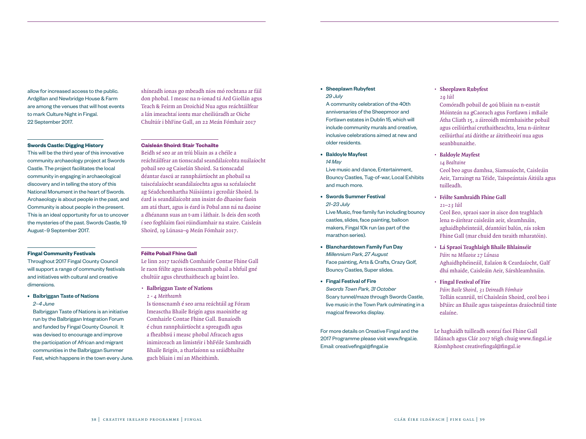allow for increased access to the public. Ardgillan and Newbridge House & Farm are among the venues that will host events to mark Culture Night in Fingal. 22 September 2017.

#### **Swords Castle: Digging History**

This will be the third year of this innovative community archaeology project at Swords Castle. The project facilitates the local community in engaging in archaeological discovery and in telling the story of this National Monument in the heart of Swords. Archaeology is about people in the past, and Community is about people in the present. This is an ideal opportunity for us to uncover the mysteries of the past. Swords Castle, 19 August–9 September 2017.

#### **Fingal Community Festivals**

Throughout 2017 Fingal County Council will support a range of community festivals and initiatives with cultural and creative dimensions.

## • Balbriggan Taste of Nations *2–4 June*

Balbriggan Taste of Nations is an initiative run by the Balbriggan Integration Forum and funded by Fingal County Council. It was devised to encourage and improve the participation of African and migrant communities in the Balbriggan Summer Fest, which happens in the town every June. shíneadh ionas go mbeadh níos mó rochtana ar fáil don phobal. I measc na n-ionad tá Ard Giollán agus Teach & Feirm an Droichid Nua agus reáchtáilfear a lán imeachtaí iontu mar cheiliúradh ar Oiche Chultúír i bhFine Gall, an 22 Meán Fómhair 2017

## **Caisleán Shoird: Stair Tochailte**

Beidh sé seo ar an tríú bliain as a chéile a reáchtáilfear an tionscadal seandálaícohta nuálaíocht pobail seo ag Caiselán Shoird. Sa tionscadal déantar éascú ar rannpháirtíocht an phobail sa taiscéalaíocht seandálaíochta agus sa scéalaíocht ag Séadchomhartha Náisiúnta i gcroílár Shoird. Is éard is seandálaícoht ann insint do dhaoine faoin am atá thart, agus is éard is Pobal ann ná na daoine a dhéanann suas an t-am i láthair. Is deis den scoth í seo foghlaim faoi rúindiamhair na staire. Caisleán Shoird, 19 Lúnasa–9 Meán Fómhair 2017.

## **Féilte Pobail Fhine Gall**

Le linn 2017 tacóidh Comhairle Contae Fhine Gall le raon féilte agus tionscnamh pobail a bhfuil gné chultúir agus chruthaitheach ag baint leo.

- **• Balbriggan Taste of Nations**
- *2 4 Meitheamh*

Is tionscnamh é seo arna reáchtáil ag Fóram Imeasctha Bhaile Brigín agus maoinithe ag Comhairle Contae Fhine Gall. Bunaíodh é chun rannpháirtíocht a spreagadh agus a fheabhsú i measc phobal Afracach agus inimirceach an limistéir i bhFéile Samhraidh Bhaile Brigín, a tharlaíonn sa sráidbhailte gach bliain i mí an Mheithimh.

## • Sheeplawn Rubyfest *29 July*

A community celebration of the 40th anniversaries of the Sheepmoor and Fortlawn estates in Dublin 15, which will include community murals and creative, inclusive celebrations aimed at new and older residents.

• Baldoyle Mayfest *14 May*

> Live music and dance, Entertainment, Bouncy Castles, Tug-of-war, Local Exhibits and much more.

- Swords Summer Festival *21–23 July* Live Music, free family fun including bouncy castles, slides, face painting, balloon makers, Fingal 10k run (as part of the marathon series).
- Blanchardstown Family Fun Day *Millennium Park, 27 August*  Face painting, Arts & Crafts, Crazy Golf, Bouncy Castles, Super slides.
- Fingal Festival of Fire *Swords Town Park, 31 October* Scary tunnel/maze through Swords Castle, live music in the Town Park culminating in a magical fireworks display.

For more details on Creative Fingal and the 2017 Programme please visit www.fingal.ie. Email: creativefingal@fingal.ie

## **• Sheeplawn Rubyfest**

*29 Iúil*

Comóradh pobail de 40ú bliain na n-eastát Móinteán na gCaorach agus Fortlawn i mBaile Átha Cliath 15, a áireoidh múrmhaisithe pobail agus ceiliúrthaí cruthaitheachta, lena n-áirítear ceiliúrthaí atá dírithe ar áitritheoirí nua agus seanbhunaithe.

## **• Baldoyle Mayfest**

*14 Bealtaine* Ceol beo agus damhsa, Siamsaíocht, Caisleáin Aeir, Tarraingt na Téide, Taispeántais Áitiúla agus tuilleadh.

- **• Féilte Samhraidh Fhine Gall** *21–23 Iúil*  Ceol Beo, spraoi saor in aisce don teaghlach lena n-áirítear caisleáin aeir, sleamhnáin, aghaidhphéinteáil, déantóirí balún, rás 10km Fhine Gall (mar chuid den tsraith mharatóin).
- **• Lá Spraoi Teaghlaigh Bhaile Bhlainséir** *Páirc na Mílaoise 27 Lúnasa* Aghaidhphéineáil, Ealaíon & Ceardaíocht, Galf dhá mhaide, Caisleáin Aeir, Sárshleamhnáin.
- **• Fingal Festival of Fire** *Páirc Baile Shoird, 31 Deireadh Fómhair* Tollán scanrúil, trí Chaisleán Shoird, ceol beo i bPáirc an Bhaile agus taispeántas draíochtúíl tinte ealaíne.

Le haghaidh tuilleadh sonraí faoi Fhine Gall Ildánach agus Clár 2017 téigh chuig www.fingal.ie Ríomhphost creativefingal@fingal.ie